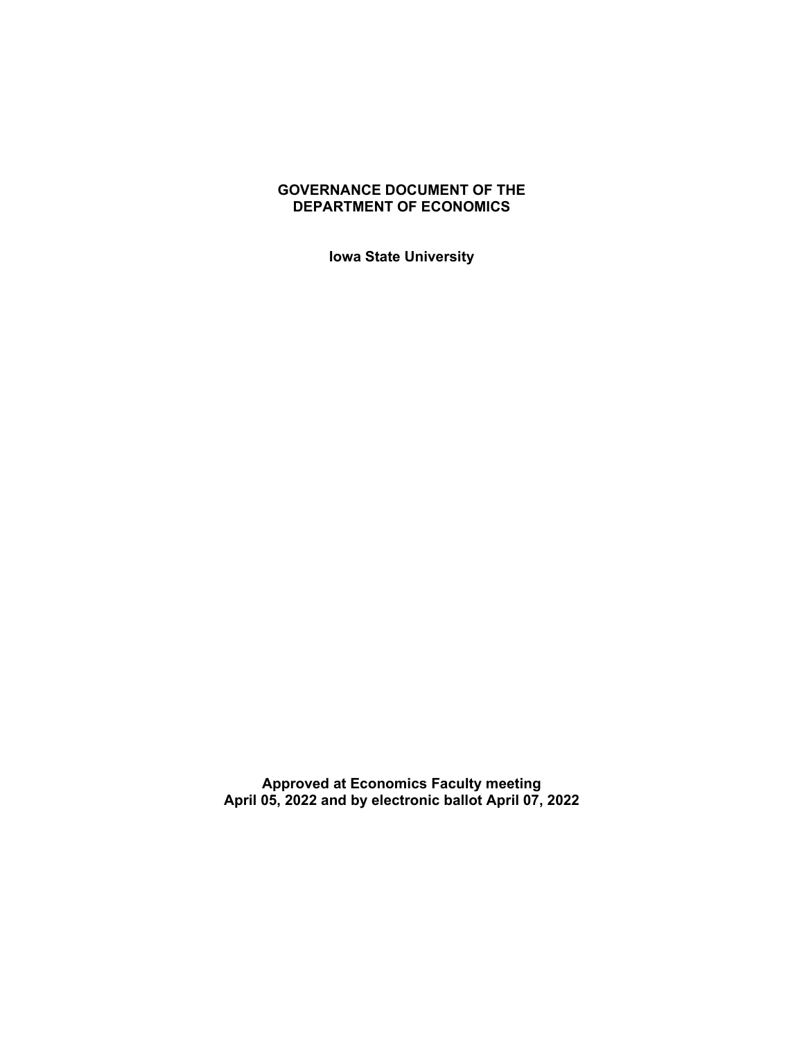## **GOVERNANCE DOCUMENT OF THE DEPARTMENT OF ECONOMICS**

**Iowa State University**

**Approved at Economics Faculty meeting April 05, 2022 and by electronic ballot April 07, 2022**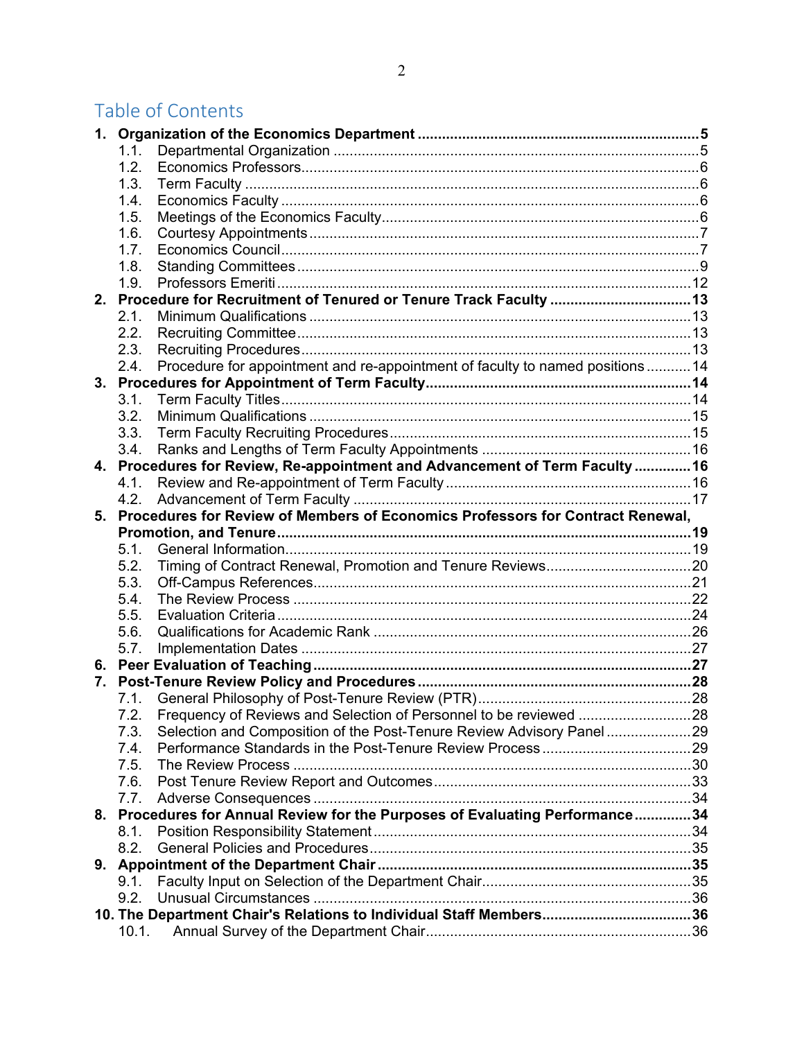# Table of Contents

| 1.1.<br>1.2.<br>1.3.<br>1.4.<br>1.5.<br>1.6.<br>1.7.<br>1.8.<br>1.9.<br>2. Procedure for Recruitment of Tenured or Tenure Track Faculty  13<br>2.1.<br>2.2.<br>2.3.<br>Procedure for appointment and re-appointment of faculty to named positions  14<br>2.4.<br>3.1.<br>3.2.<br>3.3.<br>3.4.<br>4. Procedures for Review, Re-appointment and Advancement of Term Faculty  16<br>4.1.<br>4.2.<br>5. Procedures for Review of Members of Economics Professors for Contract Renewal,<br>5.1.<br>5.2.<br>5.3.<br>5.4.<br>5.5.<br>5.6.<br>5.7.<br>7.<br>7.2.<br>Selection and Composition of the Post-Tenure Review Advisory Panel29<br>7.3.<br>7.4.<br>7.5.<br>7.6.<br>7.7.<br>8. Procedures for Annual Review for the Purposes of Evaluating Performance34 |
|----------------------------------------------------------------------------------------------------------------------------------------------------------------------------------------------------------------------------------------------------------------------------------------------------------------------------------------------------------------------------------------------------------------------------------------------------------------------------------------------------------------------------------------------------------------------------------------------------------------------------------------------------------------------------------------------------------------------------------------------------------|
|                                                                                                                                                                                                                                                                                                                                                                                                                                                                                                                                                                                                                                                                                                                                                          |
|                                                                                                                                                                                                                                                                                                                                                                                                                                                                                                                                                                                                                                                                                                                                                          |
|                                                                                                                                                                                                                                                                                                                                                                                                                                                                                                                                                                                                                                                                                                                                                          |
|                                                                                                                                                                                                                                                                                                                                                                                                                                                                                                                                                                                                                                                                                                                                                          |
|                                                                                                                                                                                                                                                                                                                                                                                                                                                                                                                                                                                                                                                                                                                                                          |
|                                                                                                                                                                                                                                                                                                                                                                                                                                                                                                                                                                                                                                                                                                                                                          |
|                                                                                                                                                                                                                                                                                                                                                                                                                                                                                                                                                                                                                                                                                                                                                          |
|                                                                                                                                                                                                                                                                                                                                                                                                                                                                                                                                                                                                                                                                                                                                                          |
|                                                                                                                                                                                                                                                                                                                                                                                                                                                                                                                                                                                                                                                                                                                                                          |
|                                                                                                                                                                                                                                                                                                                                                                                                                                                                                                                                                                                                                                                                                                                                                          |
|                                                                                                                                                                                                                                                                                                                                                                                                                                                                                                                                                                                                                                                                                                                                                          |
|                                                                                                                                                                                                                                                                                                                                                                                                                                                                                                                                                                                                                                                                                                                                                          |
|                                                                                                                                                                                                                                                                                                                                                                                                                                                                                                                                                                                                                                                                                                                                                          |
|                                                                                                                                                                                                                                                                                                                                                                                                                                                                                                                                                                                                                                                                                                                                                          |
|                                                                                                                                                                                                                                                                                                                                                                                                                                                                                                                                                                                                                                                                                                                                                          |
|                                                                                                                                                                                                                                                                                                                                                                                                                                                                                                                                                                                                                                                                                                                                                          |
|                                                                                                                                                                                                                                                                                                                                                                                                                                                                                                                                                                                                                                                                                                                                                          |
|                                                                                                                                                                                                                                                                                                                                                                                                                                                                                                                                                                                                                                                                                                                                                          |
|                                                                                                                                                                                                                                                                                                                                                                                                                                                                                                                                                                                                                                                                                                                                                          |
|                                                                                                                                                                                                                                                                                                                                                                                                                                                                                                                                                                                                                                                                                                                                                          |
|                                                                                                                                                                                                                                                                                                                                                                                                                                                                                                                                                                                                                                                                                                                                                          |
|                                                                                                                                                                                                                                                                                                                                                                                                                                                                                                                                                                                                                                                                                                                                                          |
|                                                                                                                                                                                                                                                                                                                                                                                                                                                                                                                                                                                                                                                                                                                                                          |
|                                                                                                                                                                                                                                                                                                                                                                                                                                                                                                                                                                                                                                                                                                                                                          |
|                                                                                                                                                                                                                                                                                                                                                                                                                                                                                                                                                                                                                                                                                                                                                          |
|                                                                                                                                                                                                                                                                                                                                                                                                                                                                                                                                                                                                                                                                                                                                                          |
|                                                                                                                                                                                                                                                                                                                                                                                                                                                                                                                                                                                                                                                                                                                                                          |
|                                                                                                                                                                                                                                                                                                                                                                                                                                                                                                                                                                                                                                                                                                                                                          |
|                                                                                                                                                                                                                                                                                                                                                                                                                                                                                                                                                                                                                                                                                                                                                          |
|                                                                                                                                                                                                                                                                                                                                                                                                                                                                                                                                                                                                                                                                                                                                                          |
|                                                                                                                                                                                                                                                                                                                                                                                                                                                                                                                                                                                                                                                                                                                                                          |
|                                                                                                                                                                                                                                                                                                                                                                                                                                                                                                                                                                                                                                                                                                                                                          |
|                                                                                                                                                                                                                                                                                                                                                                                                                                                                                                                                                                                                                                                                                                                                                          |
|                                                                                                                                                                                                                                                                                                                                                                                                                                                                                                                                                                                                                                                                                                                                                          |
|                                                                                                                                                                                                                                                                                                                                                                                                                                                                                                                                                                                                                                                                                                                                                          |
|                                                                                                                                                                                                                                                                                                                                                                                                                                                                                                                                                                                                                                                                                                                                                          |
|                                                                                                                                                                                                                                                                                                                                                                                                                                                                                                                                                                                                                                                                                                                                                          |
|                                                                                                                                                                                                                                                                                                                                                                                                                                                                                                                                                                                                                                                                                                                                                          |
|                                                                                                                                                                                                                                                                                                                                                                                                                                                                                                                                                                                                                                                                                                                                                          |
|                                                                                                                                                                                                                                                                                                                                                                                                                                                                                                                                                                                                                                                                                                                                                          |
| 8.1.                                                                                                                                                                                                                                                                                                                                                                                                                                                                                                                                                                                                                                                                                                                                                     |
| 8.2.                                                                                                                                                                                                                                                                                                                                                                                                                                                                                                                                                                                                                                                                                                                                                     |
| 9.                                                                                                                                                                                                                                                                                                                                                                                                                                                                                                                                                                                                                                                                                                                                                       |
| 9.1.                                                                                                                                                                                                                                                                                                                                                                                                                                                                                                                                                                                                                                                                                                                                                     |
|                                                                                                                                                                                                                                                                                                                                                                                                                                                                                                                                                                                                                                                                                                                                                          |
| 9.2.                                                                                                                                                                                                                                                                                                                                                                                                                                                                                                                                                                                                                                                                                                                                                     |
| 10. The Department Chair's Relations to Individual Staff Members36<br>10.1.                                                                                                                                                                                                                                                                                                                                                                                                                                                                                                                                                                                                                                                                              |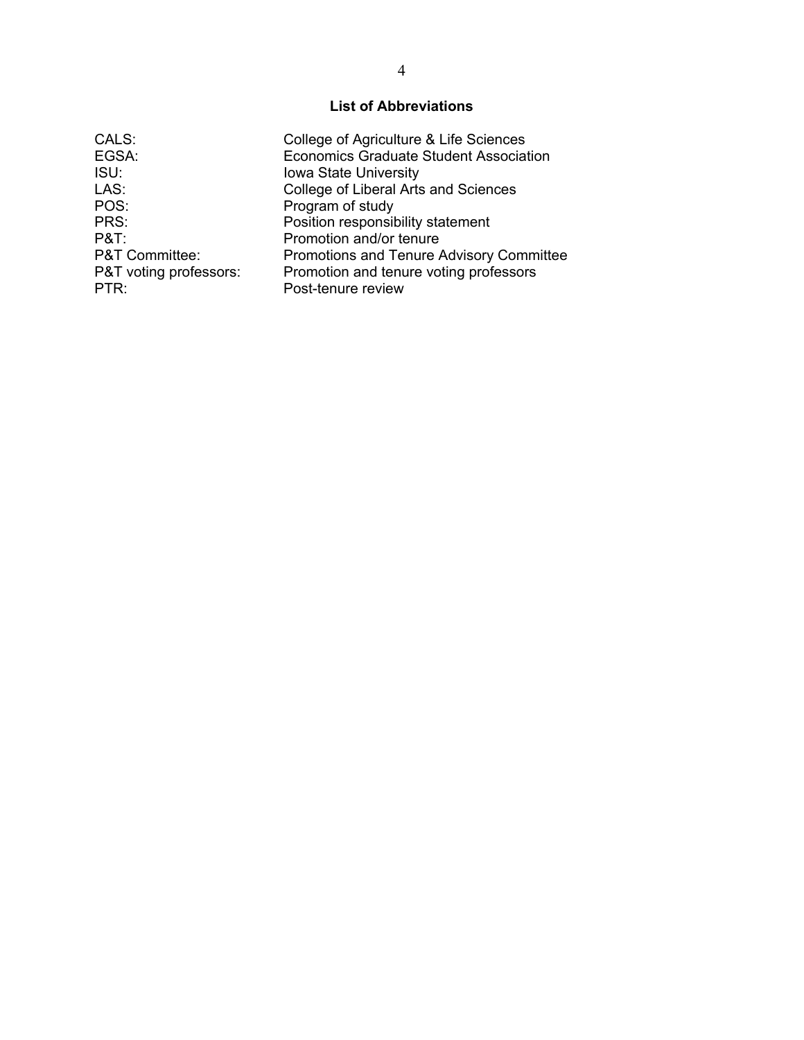# **List of Abbreviations**

| CALS:                     | College of Agriculture & Life Sciences          |
|---------------------------|-------------------------------------------------|
| EGSA:                     | <b>Economics Graduate Student Association</b>   |
| ISU:                      | <b>Iowa State University</b>                    |
| LAS:                      | College of Liberal Arts and Sciences            |
| POS:                      | Program of study                                |
| PRS:                      | Position responsibility statement               |
| $P&T$ :                   | Promotion and/or tenure                         |
| <b>P&amp;T Committee:</b> | <b>Promotions and Tenure Advisory Committee</b> |
| P&T voting professors:    | Promotion and tenure voting professors          |
| PTR:                      | Post-tenure review                              |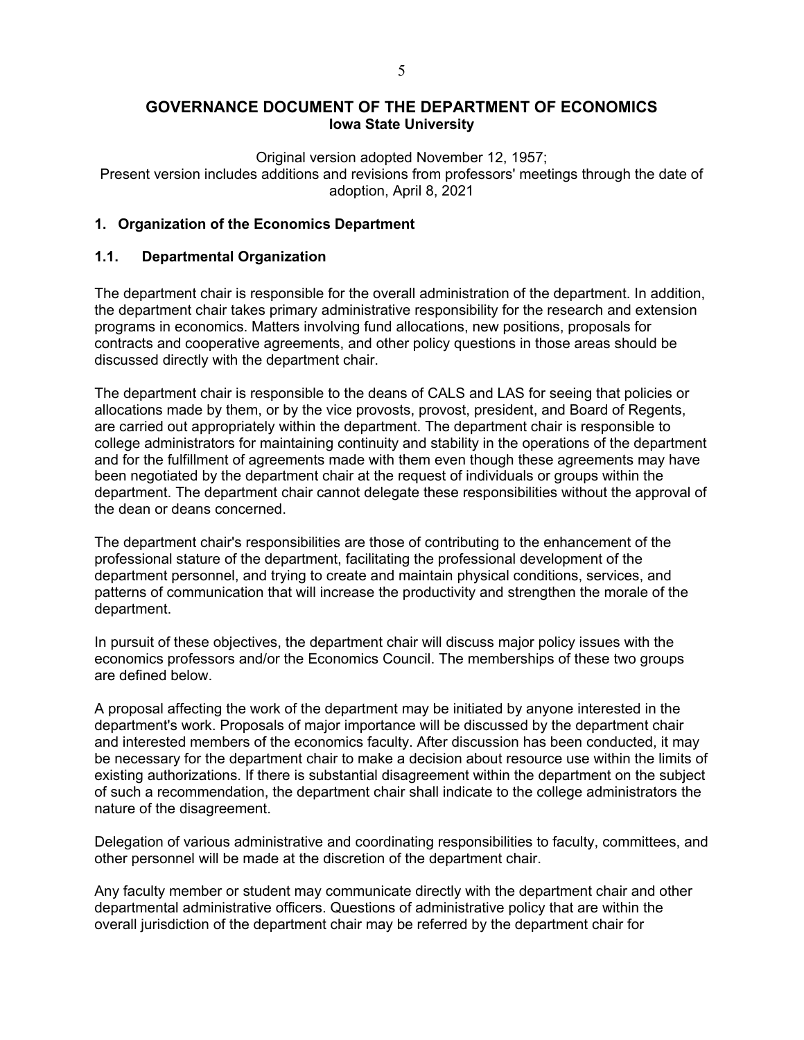# **GOVERNANCE DOCUMENT OF THE DEPARTMENT OF ECONOMICS Iowa State University**

Original version adopted November 12, 1957;

Present version includes additions and revisions from professors' meetings through the date of adoption, April 8, 2021

## <span id="page-4-1"></span><span id="page-4-0"></span>**1. Organization of the Economics Department**

## **1.1. Departmental Organization**

The department chair is responsible for the overall administration of the department. In addition, the department chair takes primary administrative responsibility for the research and extension programs in economics. Matters involving fund allocations, new positions, proposals for contracts and cooperative agreements, and other policy questions in those areas should be discussed directly with the department chair.

The department chair is responsible to the deans of CALS and LAS for seeing that policies or allocations made by them, or by the vice provosts, provost, president, and Board of Regents, are carried out appropriately within the department. The department chair is responsible to college administrators for maintaining continuity and stability in the operations of the department and for the fulfillment of agreements made with them even though these agreements may have been negotiated by the department chair at the request of individuals or groups within the department. The department chair cannot delegate these responsibilities without the approval of the dean or deans concerned.

The department chair's responsibilities are those of contributing to the enhancement of the professional stature of the department, facilitating the professional development of the department personnel, and trying to create and maintain physical conditions, services, and patterns of communication that will increase the productivity and strengthen the morale of the department.

In pursuit of these objectives, the department chair will discuss major policy issues with the economics professors and/or the Economics Council. The memberships of these two groups are defined below.

A proposal affecting the work of the department may be initiated by anyone interested in the department's work. Proposals of major importance will be discussed by the department chair and interested members of the economics faculty. After discussion has been conducted, it may be necessary for the department chair to make a decision about resource use within the limits of existing authorizations. If there is substantial disagreement within the department on the subject of such a recommendation, the department chair shall indicate to the college administrators the nature of the disagreement.

Delegation of various administrative and coordinating responsibilities to faculty, committees, and other personnel will be made at the discretion of the department chair.

Any faculty member or student may communicate directly with the department chair and other departmental administrative officers. Questions of administrative policy that are within the overall jurisdiction of the department chair may be referred by the department chair for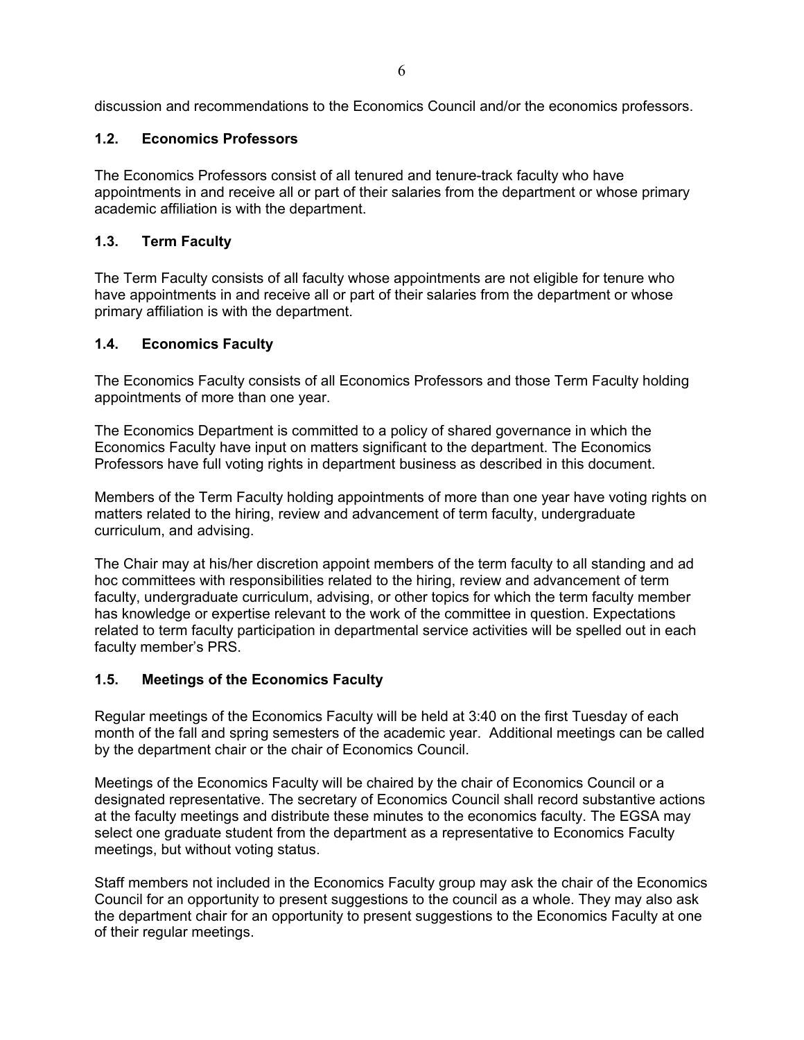<span id="page-5-0"></span>discussion and recommendations to the Economics Council and/or the economics professors.

#### **1.2. Economics Professors**

The Economics Professors consist of all tenured and tenure-track faculty who have appointments in and receive all or part of their salaries from the department or whose primary academic affiliation is with the department.

## <span id="page-5-1"></span>**1.3. Term Faculty**

The Term Faculty consists of all faculty whose appointments are not eligible for tenure who have appointments in and receive all or part of their salaries from the department or whose primary affiliation is with the department.

#### <span id="page-5-2"></span>**1.4. Economics Faculty**

The Economics Faculty consists of all Economics Professors and those Term Faculty holding appointments of more than one year.

The Economics Department is committed to a policy of shared governance in which the Economics Faculty have input on matters significant to the department. The Economics Professors have full voting rights in department business as described in this document.

Members of the Term Faculty holding appointments of more than one year have voting rights on matters related to the hiring, review and advancement of term faculty, undergraduate curriculum, and advising.

The Chair may at his/her discretion appoint members of the term faculty to all standing and ad hoc committees with responsibilities related to the hiring, review and advancement of term faculty, undergraduate curriculum, advising, or other topics for which the term faculty member has knowledge or expertise relevant to the work of the committee in question. Expectations related to term faculty participation in departmental service activities will be spelled out in each faculty member's PRS.

## <span id="page-5-3"></span>**1.5. Meetings of the Economics Faculty**

Regular meetings of the Economics Faculty will be held at 3:40 on the first Tuesday of each month of the fall and spring semesters of the academic year. Additional meetings can be called by the department chair or the chair of Economics Council.

Meetings of the Economics Faculty will be chaired by the chair of Economics Council or a designated representative. The secretary of Economics Council shall record substantive actions at the faculty meetings and distribute these minutes to the economics faculty. The EGSA may select one graduate student from the department as a representative to Economics Faculty meetings, but without voting status.

Staff members not included in the Economics Faculty group may ask the chair of the Economics Council for an opportunity to present suggestions to the council as a whole. They may also ask the department chair for an opportunity to present suggestions to the Economics Faculty at one of their regular meetings.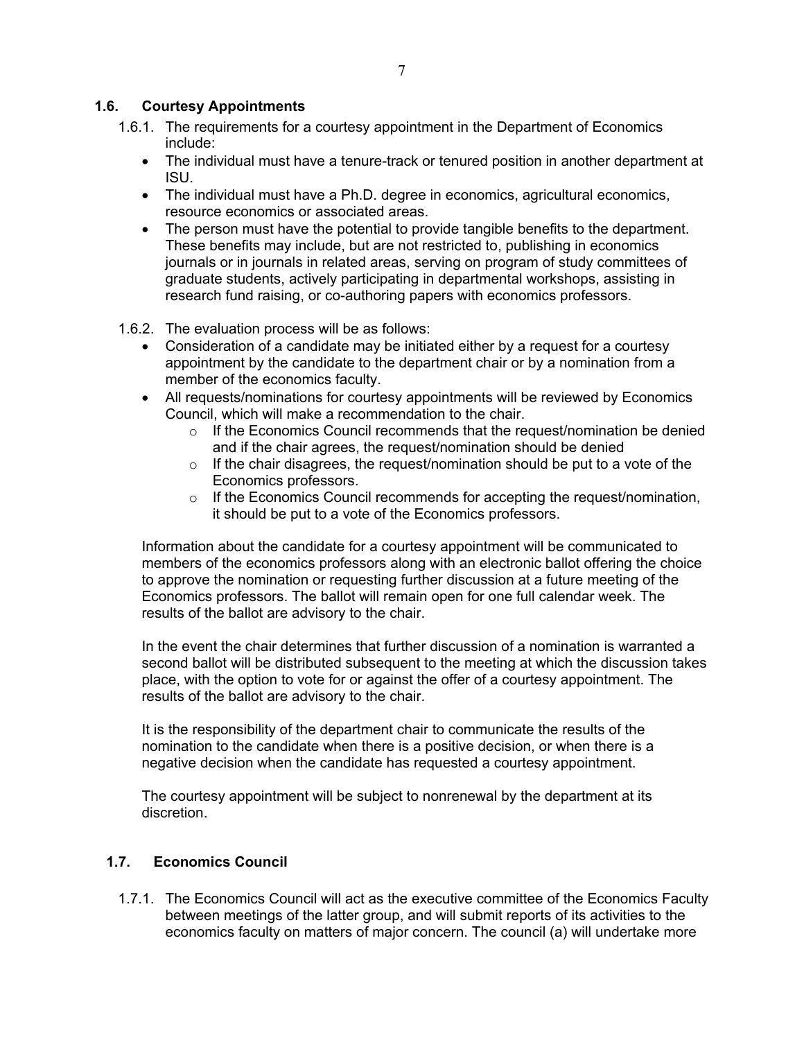#### <span id="page-6-0"></span>**1.6. Courtesy Appointments**

- 1.6.1. The requirements for a courtesy appointment in the Department of Economics include:
	- The individual must have a tenure-track or tenured position in another department at ISU.
	- The individual must have a Ph.D. degree in economics, agricultural economics, resource economics or associated areas.
	- The person must have the potential to provide tangible benefits to the department. These benefits may include, but are not restricted to, publishing in economics journals or in journals in related areas, serving on program of study committees of graduate students, actively participating in departmental workshops, assisting in research fund raising, or co-authoring papers with economics professors.
- 1.6.2. The evaluation process will be as follows:
	- Consideration of a candidate may be initiated either by a request for a courtesy appointment by the candidate to the department chair or by a nomination from a member of the economics faculty.
	- All requests/nominations for courtesy appointments will be reviewed by Economics Council, which will make a recommendation to the chair.
		- $\circ$  If the Economics Council recommends that the request/nomination be denied and if the chair agrees, the request/nomination should be denied
		- $\circ$  If the chair disagrees, the request/nomination should be put to a vote of the Economics professors.
		- $\circ$  If the Economics Council recommends for accepting the request/nomination, it should be put to a vote of the Economics professors.

Information about the candidate for a courtesy appointment will be communicated to members of the economics professors along with an electronic ballot offering the choice to approve the nomination or requesting further discussion at a future meeting of the Economics professors. The ballot will remain open for one full calendar week. The results of the ballot are advisory to the chair.

In the event the chair determines that further discussion of a nomination is warranted a second ballot will be distributed subsequent to the meeting at which the discussion takes place, with the option to vote for or against the offer of a courtesy appointment. The results of the ballot are advisory to the chair.

It is the responsibility of the department chair to communicate the results of the nomination to the candidate when there is a positive decision, or when there is a negative decision when the candidate has requested a courtesy appointment.

The courtesy appointment will be subject to nonrenewal by the department at its discretion.

## <span id="page-6-1"></span>**1.7. Economics Council**

1.7.1. The Economics Council will act as the executive committee of the Economics Faculty between meetings of the latter group, and will submit reports of its activities to the economics faculty on matters of major concern. The council (a) will undertake more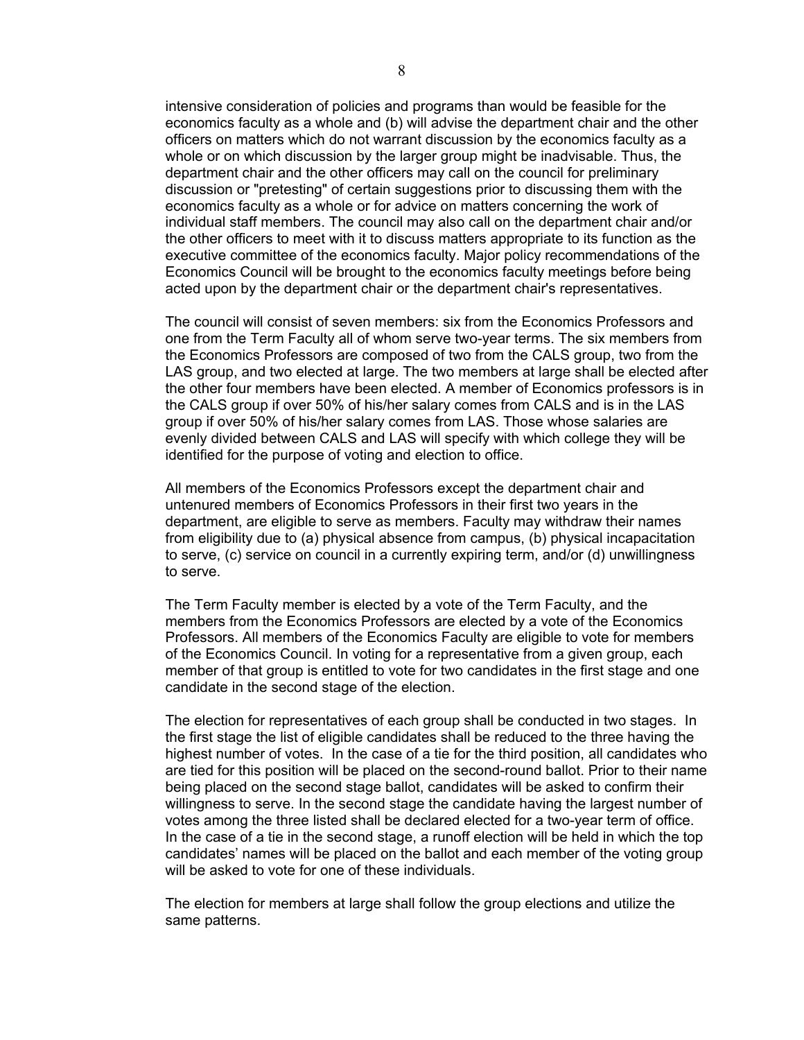intensive consideration of policies and programs than would be feasible for the economics faculty as a whole and (b) will advise the department chair and the other officers on matters which do not warrant discussion by the economics faculty as a whole or on which discussion by the larger group might be inadvisable. Thus, the department chair and the other officers may call on the council for preliminary discussion or "pretesting" of certain suggestions prior to discussing them with the economics faculty as a whole or for advice on matters concerning the work of individual staff members. The council may also call on the department chair and/or the other officers to meet with it to discuss matters appropriate to its function as the executive committee of the economics faculty. Major policy recommendations of the Economics Council will be brought to the economics faculty meetings before being acted upon by the department chair or the department chair's representatives.

The council will consist of seven members: six from the Economics Professors and one from the Term Faculty all of whom serve two-year terms. The six members from the Economics Professors are composed of two from the CALS group, two from the LAS group, and two elected at large. The two members at large shall be elected after the other four members have been elected. A member of Economics professors is in the CALS group if over 50% of his/her salary comes from CALS and is in the LAS group if over 50% of his/her salary comes from LAS. Those whose salaries are evenly divided between CALS and LAS will specify with which college they will be identified for the purpose of voting and election to office.

All members of the Economics Professors except the department chair and untenured members of Economics Professors in their first two years in the department, are eligible to serve as members. Faculty may withdraw their names from eligibility due to (a) physical absence from campus, (b) physical incapacitation to serve, (c) service on council in a currently expiring term, and/or (d) unwillingness to serve.

The Term Faculty member is elected by a vote of the Term Faculty, and the members from the Economics Professors are elected by a vote of the Economics Professors. All members of the Economics Faculty are eligible to vote for members of the Economics Council. In voting for a representative from a given group, each member of that group is entitled to vote for two candidates in the first stage and one candidate in the second stage of the election.

The election for representatives of each group shall be conducted in two stages. In the first stage the list of eligible candidates shall be reduced to the three having the highest number of votes. In the case of a tie for the third position, all candidates who are tied for this position will be placed on the second-round ballot. Prior to their name being placed on the second stage ballot, candidates will be asked to confirm their willingness to serve. In the second stage the candidate having the largest number of votes among the three listed shall be declared elected for a two-year term of office. In the case of a tie in the second stage, a runoff election will be held in which the top candidates' names will be placed on the ballot and each member of the voting group will be asked to vote for one of these individuals.

The election for members at large shall follow the group elections and utilize the same patterns.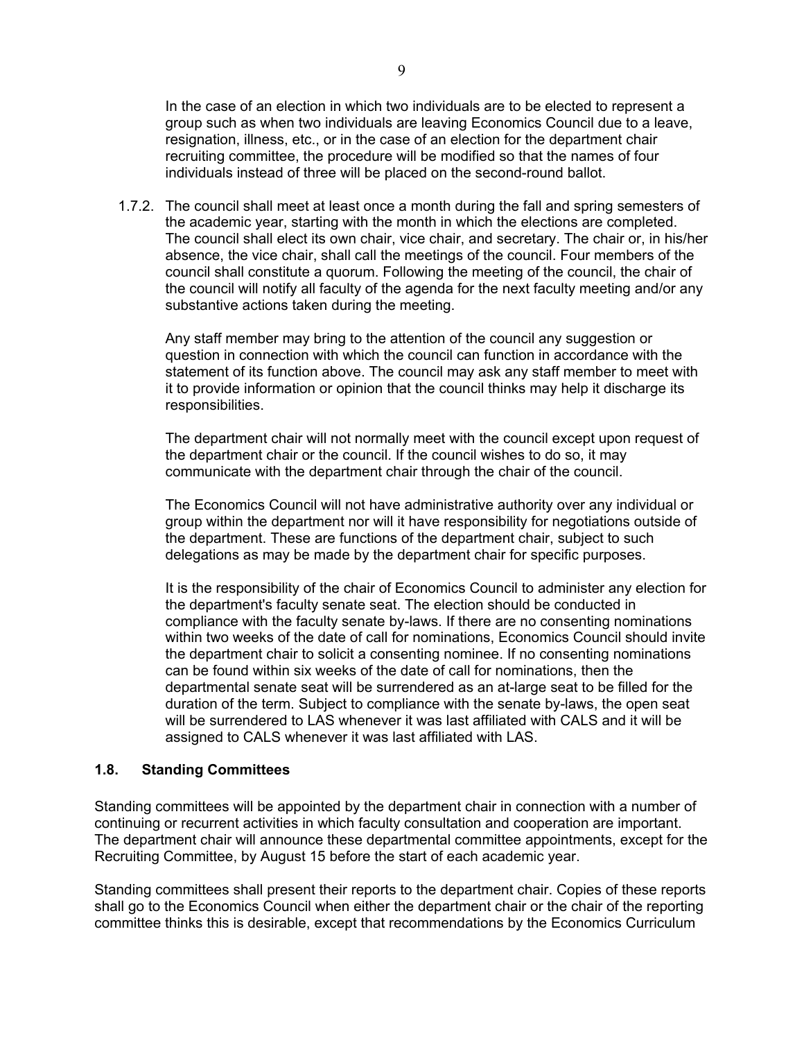In the case of an election in which two individuals are to be elected to represent a group such as when two individuals are leaving Economics Council due to a leave, resignation, illness, etc., or in the case of an election for the department chair recruiting committee, the procedure will be modified so that the names of four individuals instead of three will be placed on the second-round ballot.

1.7.2. The council shall meet at least once a month during the fall and spring semesters of the academic year, starting with the month in which the elections are completed. The council shall elect its own chair, vice chair, and secretary. The chair or, in his/her absence, the vice chair, shall call the meetings of the council. Four members of the council shall constitute a quorum. Following the meeting of the council, the chair of the council will notify all faculty of the agenda for the next faculty meeting and/or any substantive actions taken during the meeting.

Any staff member may bring to the attention of the council any suggestion or question in connection with which the council can function in accordance with the statement of its function above. The council may ask any staff member to meet with it to provide information or opinion that the council thinks may help it discharge its responsibilities.

The department chair will not normally meet with the council except upon request of the department chair or the council. If the council wishes to do so, it may communicate with the department chair through the chair of the council.

The Economics Council will not have administrative authority over any individual or group within the department nor will it have responsibility for negotiations outside of the department. These are functions of the department chair, subject to such delegations as may be made by the department chair for specific purposes.

It is the responsibility of the chair of Economics Council to administer any election for the department's faculty senate seat. The election should be conducted in compliance with the faculty senate by-laws. If there are no consenting nominations within two weeks of the date of call for nominations, Economics Council should invite the department chair to solicit a consenting nominee. If no consenting nominations can be found within six weeks of the date of call for nominations, then the departmental senate seat will be surrendered as an at-large seat to be filled for the duration of the term. Subject to compliance with the senate by-laws, the open seat will be surrendered to LAS whenever it was last affiliated with CALS and it will be assigned to CALS whenever it was last affiliated with LAS.

#### <span id="page-8-0"></span>**1.8. Standing Committees**

Standing committees will be appointed by the department chair in connection with a number of continuing or recurrent activities in which faculty consultation and cooperation are important. The department chair will announce these departmental committee appointments, except for the Recruiting Committee, by August 15 before the start of each academic year.

Standing committees shall present their reports to the department chair. Copies of these reports shall go to the Economics Council when either the department chair or the chair of the reporting committee thinks this is desirable, except that recommendations by the Economics Curriculum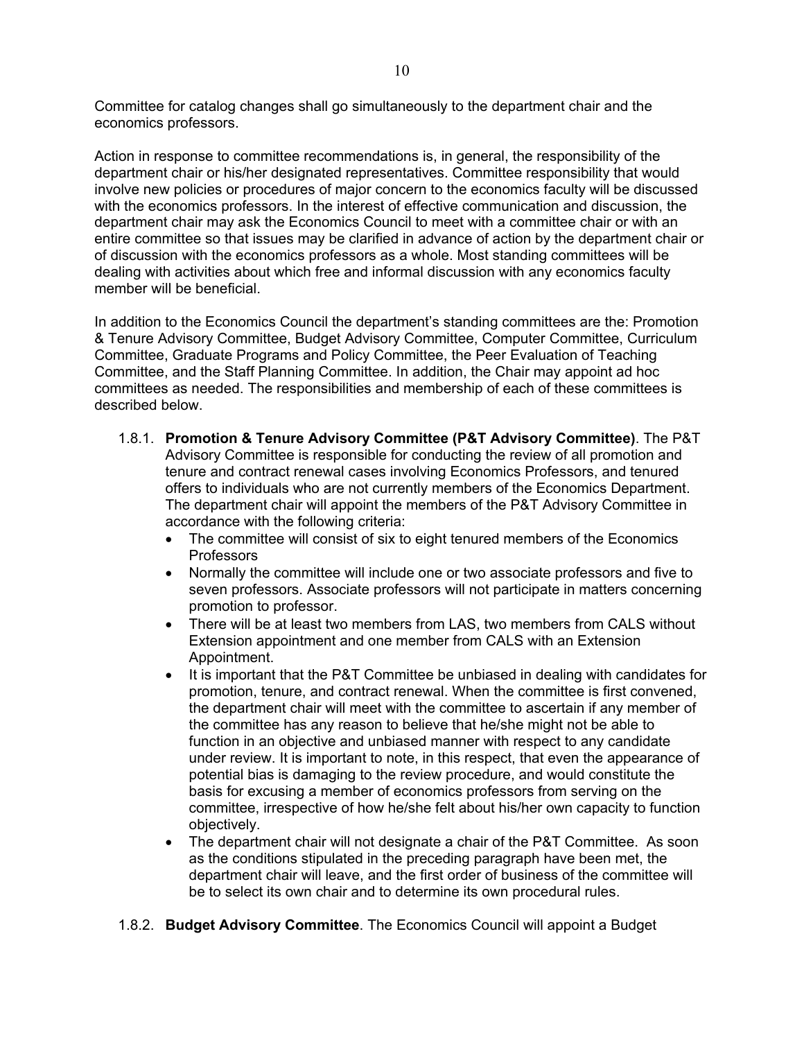Committee for catalog changes shall go simultaneously to the department chair and the economics professors.

Action in response to committee recommendations is, in general, the responsibility of the department chair or his/her designated representatives. Committee responsibility that would involve new policies or procedures of major concern to the economics faculty will be discussed with the economics professors. In the interest of effective communication and discussion, the department chair may ask the Economics Council to meet with a committee chair or with an entire committee so that issues may be clarified in advance of action by the department chair or of discussion with the economics professors as a whole. Most standing committees will be dealing with activities about which free and informal discussion with any economics faculty member will be beneficial.

In addition to the Economics Council the department's standing committees are the: Promotion & Tenure Advisory Committee, Budget Advisory Committee, Computer Committee, Curriculum Committee, Graduate Programs and Policy Committee, the Peer Evaluation of Teaching Committee, and the Staff Planning Committee. In addition, the Chair may appoint ad hoc committees as needed. The responsibilities and membership of each of these committees is described below.

- 1.8.1. **Promotion & Tenure Advisory Committee (P&T Advisory Committee)**. The P&T Advisory Committee is responsible for conducting the review of all promotion and tenure and contract renewal cases involving Economics Professors, and tenured offers to individuals who are not currently members of the Economics Department. The department chair will appoint the members of the P&T Advisory Committee in accordance with the following criteria:
	- The committee will consist of six to eight tenured members of the Economics Professors
	- Normally the committee will include one or two associate professors and five to seven professors. Associate professors will not participate in matters concerning promotion to professor.
	- There will be at least two members from LAS, two members from CALS without Extension appointment and one member from CALS with an Extension Appointment.
	- It is important that the P&T Committee be unbiased in dealing with candidates for promotion, tenure, and contract renewal. When the committee is first convened, the department chair will meet with the committee to ascertain if any member of the committee has any reason to believe that he/she might not be able to function in an objective and unbiased manner with respect to any candidate under review. It is important to note, in this respect, that even the appearance of potential bias is damaging to the review procedure, and would constitute the basis for excusing a member of economics professors from serving on the committee, irrespective of how he/she felt about his/her own capacity to function objectively.
	- The department chair will not designate a chair of the P&T Committee. As soon as the conditions stipulated in the preceding paragraph have been met, the department chair will leave, and the first order of business of the committee will be to select its own chair and to determine its own procedural rules.
- 1.8.2. **Budget Advisory Committee**. The Economics Council will appoint a Budget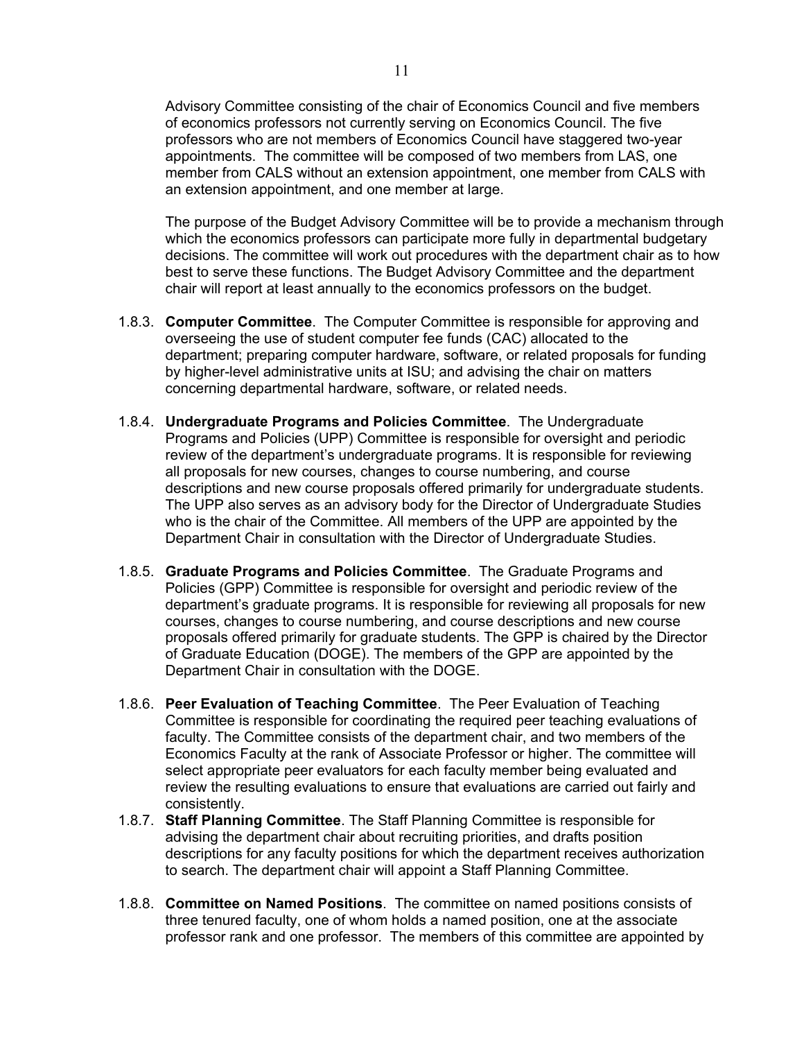Advisory Committee consisting of the chair of Economics Council and five members of economics professors not currently serving on Economics Council. The five professors who are not members of Economics Council have staggered two-year appointments. The committee will be composed of two members from LAS, one member from CALS without an extension appointment, one member from CALS with an extension appointment, and one member at large.

The purpose of the Budget Advisory Committee will be to provide a mechanism through which the economics professors can participate more fully in departmental budgetary decisions. The committee will work out procedures with the department chair as to how best to serve these functions. The Budget Advisory Committee and the department chair will report at least annually to the economics professors on the budget.

- 1.8.3. **Computer Committee**. The Computer Committee is responsible for approving and overseeing the use of student computer fee funds (CAC) allocated to the department; preparing computer hardware, software, or related proposals for funding by higher-level administrative units at ISU; and advising the chair on matters concerning departmental hardware, software, or related needs.
- 1.8.4. **Undergraduate Programs and Policies Committee**. The Undergraduate Programs and Policies (UPP) Committee is responsible for oversight and periodic review of the department's undergraduate programs. It is responsible for reviewing all proposals for new courses, changes to course numbering, and course descriptions and new course proposals offered primarily for undergraduate students. The UPP also serves as an advisory body for the Director of Undergraduate Studies who is the chair of the Committee. All members of the UPP are appointed by the Department Chair in consultation with the Director of Undergraduate Studies.
- 1.8.5. **Graduate Programs and Policies Committee**. The Graduate Programs and Policies (GPP) Committee is responsible for oversight and periodic review of the department's graduate programs. It is responsible for reviewing all proposals for new courses, changes to course numbering, and course descriptions and new course proposals offered primarily for graduate students. The GPP is chaired by the Director of Graduate Education (DOGE). The members of the GPP are appointed by the Department Chair in consultation with the DOGE.
- 1.8.6. **Peer Evaluation of Teaching Committee**. The Peer Evaluation of Teaching Committee is responsible for coordinating the required peer teaching evaluations of faculty. The Committee consists of the department chair, and two members of the Economics Faculty at the rank of Associate Professor or higher. The committee will select appropriate peer evaluators for each faculty member being evaluated and review the resulting evaluations to ensure that evaluations are carried out fairly and consistently.
- 1.8.7. **Staff Planning Committee**. The Staff Planning Committee is responsible for advising the department chair about recruiting priorities, and drafts position descriptions for any faculty positions for which the department receives authorization to search. The department chair will appoint a Staff Planning Committee.
- 1.8.8. **Committee on Named Positions**. The committee on named positions consists of three tenured faculty, one of whom holds a named position, one at the associate professor rank and one professor. The members of this committee are appointed by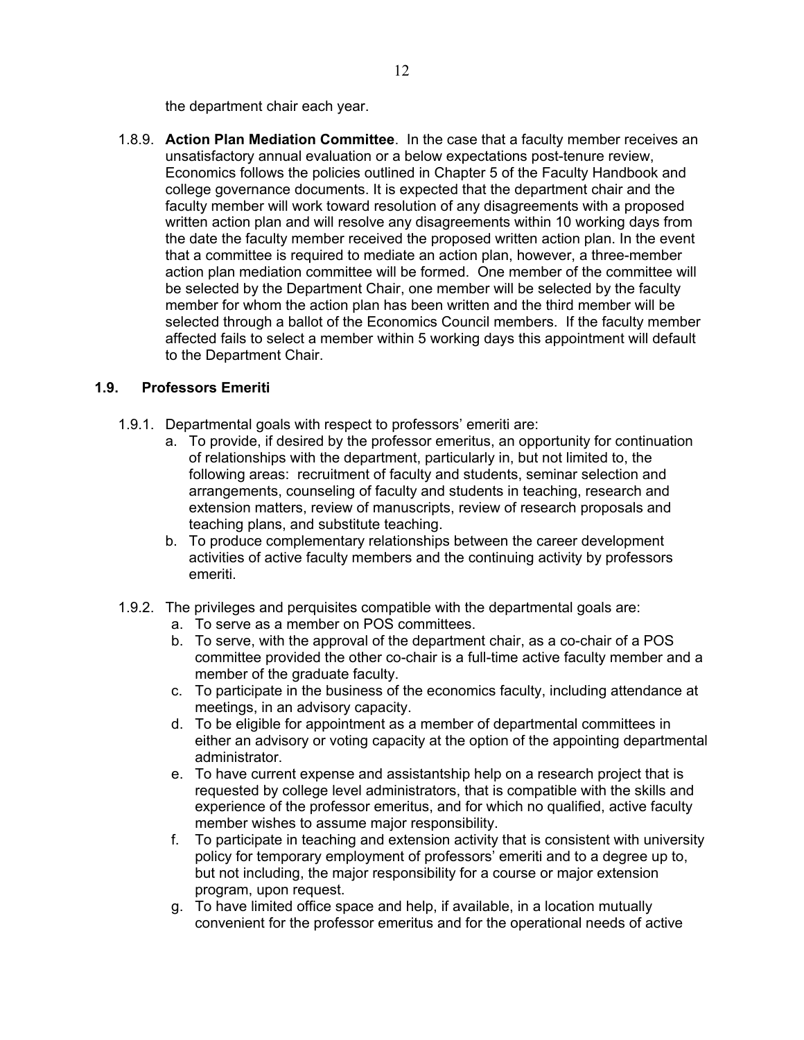the department chair each year.

1.8.9. **Action Plan Mediation Committee**. In the case that a faculty member receives an unsatisfactory annual evaluation or a below expectations post-tenure review, Economics follows the policies outlined in Chapter 5 of the Faculty Handbook and college governance documents. It is expected that the department chair and the faculty member will work toward resolution of any disagreements with a proposed written action plan and will resolve any disagreements within 10 working days from the date the faculty member received the proposed written action plan. In the event that a committee is required to mediate an action plan, however, a three-member action plan mediation committee will be formed. One member of the committee will be selected by the Department Chair, one member will be selected by the faculty member for whom the action plan has been written and the third member will be selected through a ballot of the Economics Council members. If the faculty member affected fails to select a member within 5 working days this appointment will default to the Department Chair.

#### <span id="page-11-0"></span>**1.9. Professors Emeriti**

- 1.9.1. Departmental goals with respect to professors' emeriti are:
	- a. To provide, if desired by the professor emeritus, an opportunity for continuation of relationships with the department, particularly in, but not limited to, the following areas: recruitment of faculty and students, seminar selection and arrangements, counseling of faculty and students in teaching, research and extension matters, review of manuscripts, review of research proposals and teaching plans, and substitute teaching.
	- b. To produce complementary relationships between the career development activities of active faculty members and the continuing activity by professors emeriti.
- 1.9.2. The privileges and perquisites compatible with the departmental goals are:
	- a. To serve as a member on POS committees.
	- b. To serve, with the approval of the department chair, as a co-chair of a POS committee provided the other co-chair is a full-time active faculty member and a member of the graduate faculty.
	- c. To participate in the business of the economics faculty, including attendance at meetings, in an advisory capacity.
	- d. To be eligible for appointment as a member of departmental committees in either an advisory or voting capacity at the option of the appointing departmental administrator.
	- e. To have current expense and assistantship help on a research project that is requested by college level administrators, that is compatible with the skills and experience of the professor emeritus, and for which no qualified, active faculty member wishes to assume major responsibility.
	- f. To participate in teaching and extension activity that is consistent with university policy for temporary employment of professors' emeriti and to a degree up to, but not including, the major responsibility for a course or major extension program, upon request.
	- g. To have limited office space and help, if available, in a location mutually convenient for the professor emeritus and for the operational needs of active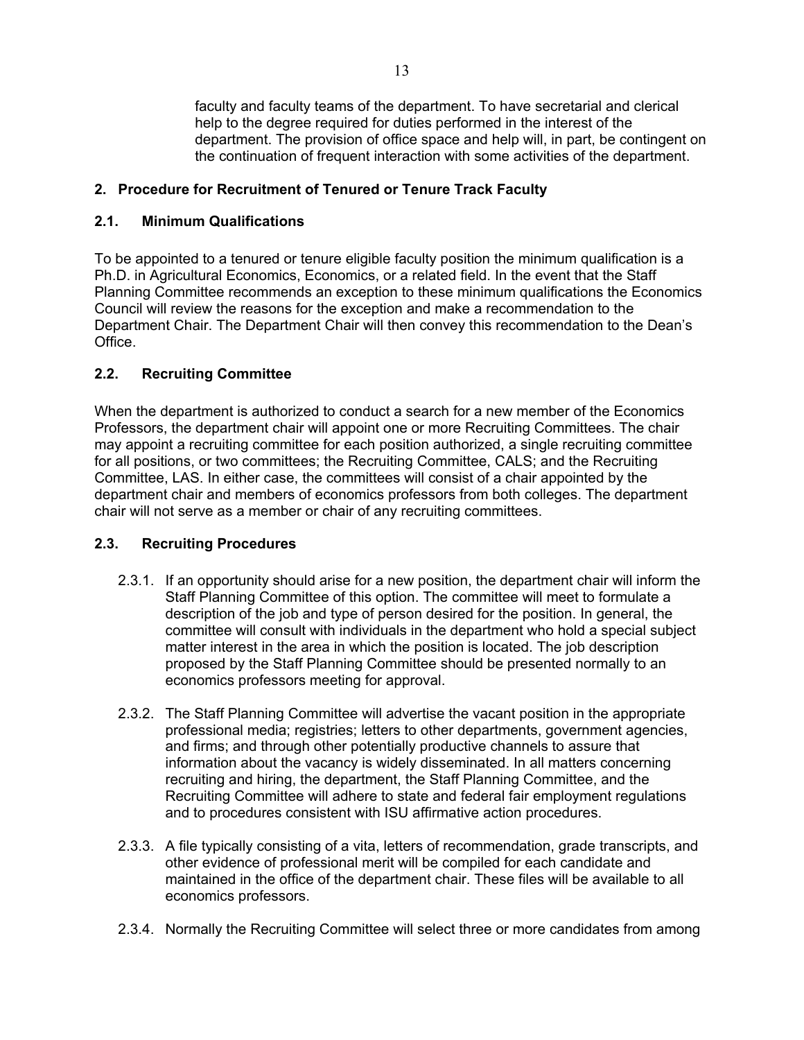faculty and faculty teams of the department. To have secretarial and clerical help to the degree required for duties performed in the interest of the department. The provision of office space and help will, in part, be contingent on the continuation of frequent interaction with some activities of the department.

## <span id="page-12-1"></span><span id="page-12-0"></span>**2. Procedure for Recruitment of Tenured or Tenure Track Faculty**

## **2.1. Minimum Qualifications**

To be appointed to a tenured or tenure eligible faculty position the minimum qualification is a Ph.D. in Agricultural Economics, Economics, or a related field. In the event that the Staff Planning Committee recommends an exception to these minimum qualifications the Economics Council will review the reasons for the exception and make a recommendation to the Department Chair. The Department Chair will then convey this recommendation to the Dean's Office.

# <span id="page-12-2"></span>**2.2. Recruiting Committee**

When the department is authorized to conduct a search for a new member of the Economics Professors, the department chair will appoint one or more Recruiting Committees. The chair may appoint a recruiting committee for each position authorized, a single recruiting committee for all positions, or two committees; the Recruiting Committee, CALS; and the Recruiting Committee, LAS. In either case, the committees will consist of a chair appointed by the department chair and members of economics professors from both colleges. The department chair will not serve as a member or chair of any recruiting committees.

## <span id="page-12-3"></span>**2.3. Recruiting Procedures**

- 2.3.1. If an opportunity should arise for a new position, the department chair will inform the Staff Planning Committee of this option. The committee will meet to formulate a description of the job and type of person desired for the position. In general, the committee will consult with individuals in the department who hold a special subject matter interest in the area in which the position is located. The job description proposed by the Staff Planning Committee should be presented normally to an economics professors meeting for approval.
- 2.3.2. The Staff Planning Committee will advertise the vacant position in the appropriate professional media; registries; letters to other departments, government agencies, and firms; and through other potentially productive channels to assure that information about the vacancy is widely disseminated. In all matters concerning recruiting and hiring, the department, the Staff Planning Committee, and the Recruiting Committee will adhere to state and federal fair employment regulations and to procedures consistent with ISU affirmative action procedures.
- 2.3.3. A file typically consisting of a vita, letters of recommendation, grade transcripts, and other evidence of professional merit will be compiled for each candidate and maintained in the office of the department chair. These files will be available to all economics professors.
- 2.3.4. Normally the Recruiting Committee will select three or more candidates from among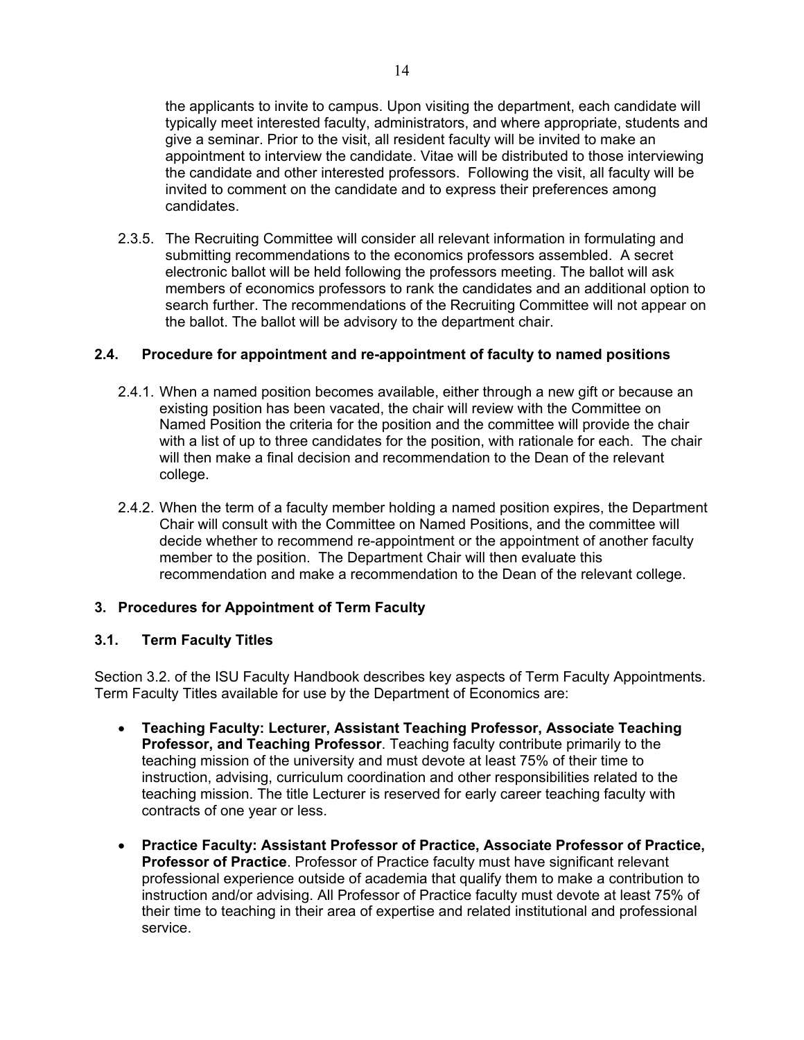the applicants to invite to campus. Upon visiting the department, each candidate will typically meet interested faculty, administrators, and where appropriate, students and give a seminar. Prior to the visit, all resident faculty will be invited to make an appointment to interview the candidate. Vitae will be distributed to those interviewing the candidate and other interested professors. Following the visit, all faculty will be invited to comment on the candidate and to express their preferences among candidates.

2.3.5. The Recruiting Committee will consider all relevant information in formulating and submitting recommendations to the economics professors assembled. A secret electronic ballot will be held following the professors meeting. The ballot will ask members of economics professors to rank the candidates and an additional option to search further. The recommendations of the Recruiting Committee will not appear on the ballot. The ballot will be advisory to the department chair.

#### <span id="page-13-0"></span>**2.4. Procedure for appointment and re-appointment of faculty to named positions**

- 2.4.1. When a named position becomes available, either through a new gift or because an existing position has been vacated, the chair will review with the Committee on Named Position the criteria for the position and the committee will provide the chair with a list of up to three candidates for the position, with rationale for each. The chair will then make a final decision and recommendation to the Dean of the relevant college.
- 2.4.2. When the term of a faculty member holding a named position expires, the Department Chair will consult with the Committee on Named Positions, and the committee will decide whether to recommend re-appointment or the appointment of another faculty member to the position. The Department Chair will then evaluate this recommendation and make a recommendation to the Dean of the relevant college.

#### <span id="page-13-2"></span><span id="page-13-1"></span>**3. Procedures for Appointment of Term Faculty**

#### **3.1. Term Faculty Titles**

Section 3.2. of the ISU Faculty Handbook describes key aspects of Term Faculty Appointments. Term Faculty Titles available for use by the Department of Economics are:

- **Teaching Faculty: Lecturer, Assistant Teaching Professor, Associate Teaching Professor, and Teaching Professor**. Teaching faculty contribute primarily to the teaching mission of the university and must devote at least 75% of their time to instruction, advising, curriculum coordination and other responsibilities related to the teaching mission. The title Lecturer is reserved for early career teaching faculty with contracts of one year or less.
- **Practice Faculty: Assistant Professor of Practice, Associate Professor of Practice, Professor of Practice**. Professor of Practice faculty must have significant relevant professional experience outside of academia that qualify them to make a contribution to instruction and/or advising. All Professor of Practice faculty must devote at least 75% of their time to teaching in their area of expertise and related institutional and professional service.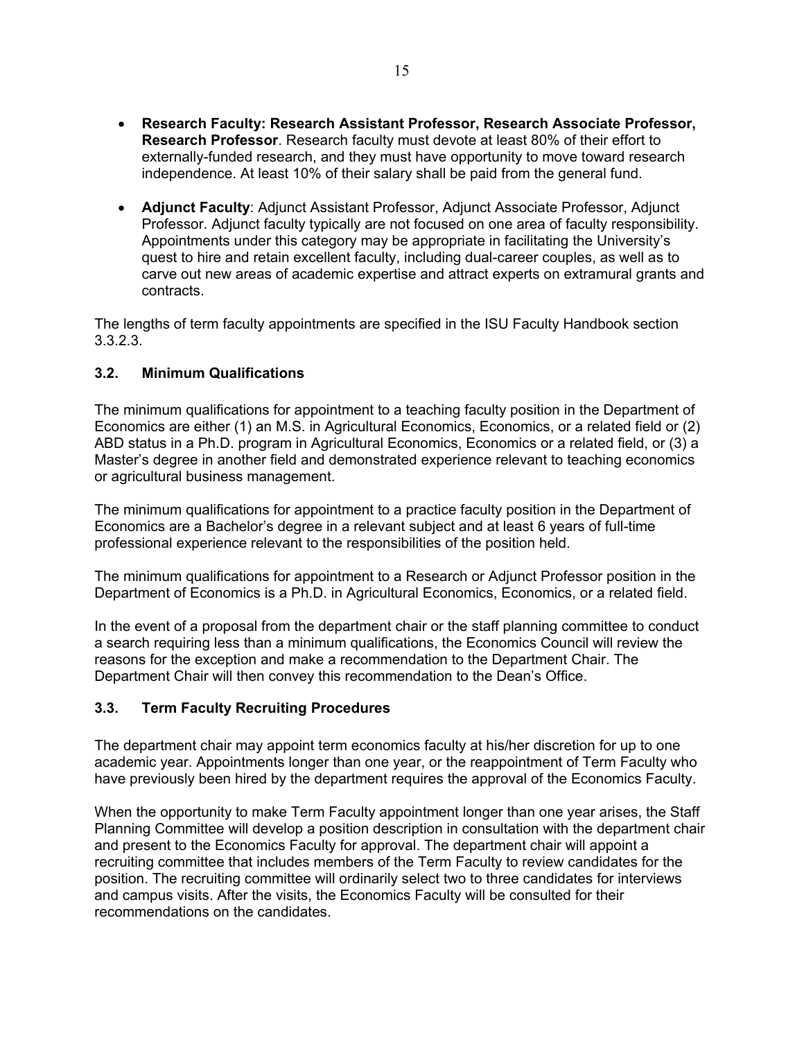- **Research Faculty: Research Assistant Professor, Research Associate Professor, Research Professor**. Research faculty must devote at least 80% of their effort to externally-funded research, and they must have opportunity to move toward research independence. At least 10% of their salary shall be paid from the general fund.
- **Adjunct Faculty**: Adjunct Assistant Professor, Adjunct Associate Professor, Adjunct Professor. Adjunct faculty typically are not focused on one area of faculty responsibility. Appointments under this category may be appropriate in facilitating the University's quest to hire and retain excellent faculty, including dual-career couples, as well as to carve out new areas of academic expertise and attract experts on extramural grants and contracts.

The lengths of term faculty appointments are specified in the ISU Faculty Handbook section 3.3.2.3.

## <span id="page-14-0"></span>**3.2. Minimum Qualifications**

The minimum qualifications for appointment to a teaching faculty position in the Department of Economics are either (1) an M.S. in Agricultural Economics, Economics, or a related field or (2) ABD status in a Ph.D. program in Agricultural Economics, Economics or a related field, or (3) a Master's degree in another field and demonstrated experience relevant to teaching economics or agricultural business management.

The minimum qualifications for appointment to a practice faculty position in the Department of Economics are a Bachelor's degree in a relevant subject and at least 6 years of full-time professional experience relevant to the responsibilities of the position held.

The minimum qualifications for appointment to a Research or Adjunct Professor position in the Department of Economics is a Ph.D. in Agricultural Economics, Economics, or a related field.

In the event of a proposal from the department chair or the staff planning committee to conduct a search requiring less than a minimum qualifications, the Economics Council will review the reasons for the exception and make a recommendation to the Department Chair. The Department Chair will then convey this recommendation to the Dean's Office.

## <span id="page-14-1"></span>**3.3. Term Faculty Recruiting Procedures**

The department chair may appoint term economics faculty at his/her discretion for up to one academic year. Appointments longer than one year, or the reappointment of Term Faculty who have previously been hired by the department requires the approval of the Economics Faculty.

When the opportunity to make Term Faculty appointment longer than one year arises, the Staff Planning Committee will develop a position description in consultation with the department chair and present to the Economics Faculty for approval. The department chair will appoint a recruiting committee that includes members of the Term Faculty to review candidates for the position. The recruiting committee will ordinarily select two to three candidates for interviews and campus visits. After the visits, the Economics Faculty will be consulted for their recommendations on the candidates.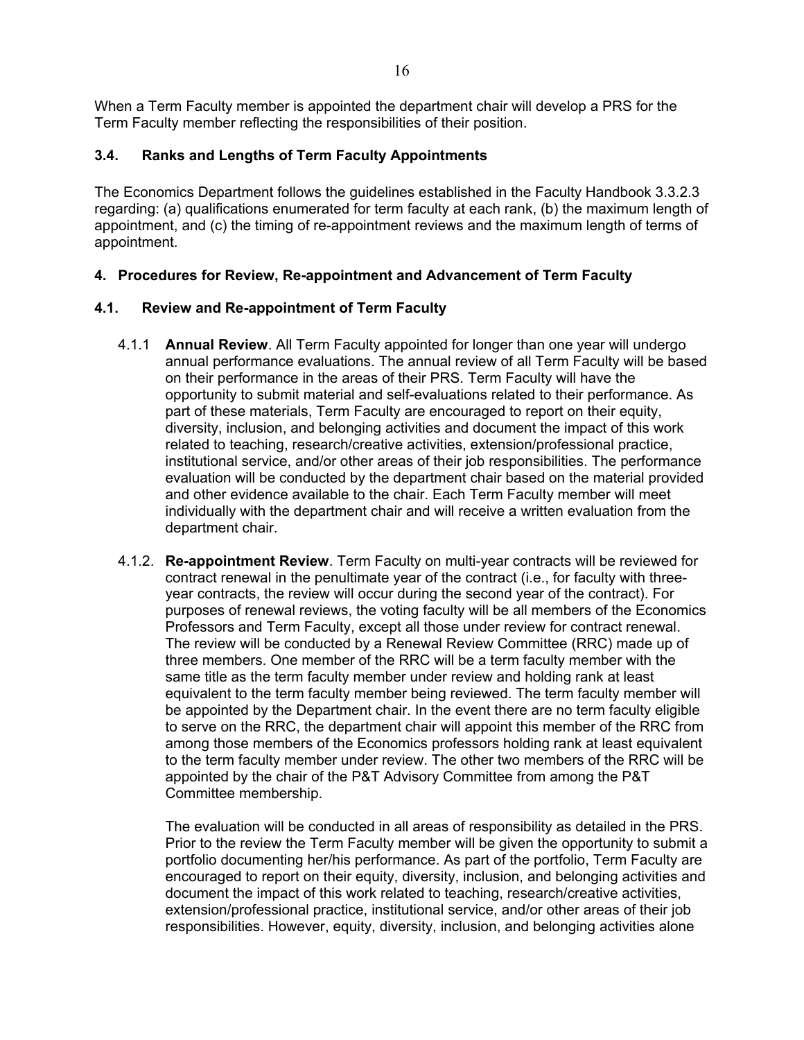When a Term Faculty member is appointed the department chair will develop a PRS for the Term Faculty member reflecting the responsibilities of their position.

#### <span id="page-15-0"></span>**3.4. Ranks and Lengths of Term Faculty Appointments**

The Economics Department follows the guidelines established in the Faculty Handbook 3.3.2.3 regarding: (a) qualifications enumerated for term faculty at each rank, (b) the maximum length of appointment, and (c) the timing of re-appointment reviews and the maximum length of terms of appointment.

#### <span id="page-15-2"></span><span id="page-15-1"></span>**4. Procedures for Review, Re-appointment and Advancement of Term Faculty**

#### **4.1. Review and Re-appointment of Term Faculty**

- 4.1.1 **Annual Review**. All Term Faculty appointed for longer than one year will undergo annual performance evaluations. The annual review of all Term Faculty will be based on their performance in the areas of their PRS. Term Faculty will have the opportunity to submit material and self-evaluations related to their performance. As part of these materials, Term Faculty are encouraged to report on their equity, diversity, inclusion, and belonging activities and document the impact of this work related to teaching, research/creative activities, extension/professional practice, institutional service, and/or other areas of their job responsibilities. The performance evaluation will be conducted by the department chair based on the material provided and other evidence available to the chair. Each Term Faculty member will meet individually with the department chair and will receive a written evaluation from the department chair.
- 4.1.2. **Re-appointment Review**. Term Faculty on multi-year contracts will be reviewed for contract renewal in the penultimate year of the contract (i.e., for faculty with threeyear contracts, the review will occur during the second year of the contract). For purposes of renewal reviews, the voting faculty will be all members of the Economics Professors and Term Faculty, except all those under review for contract renewal. The review will be conducted by a Renewal Review Committee (RRC) made up of three members. One member of the RRC will be a term faculty member with the same title as the term faculty member under review and holding rank at least equivalent to the term faculty member being reviewed. The term faculty member will be appointed by the Department chair. In the event there are no term faculty eligible to serve on the RRC, the department chair will appoint this member of the RRC from among those members of the Economics professors holding rank at least equivalent to the term faculty member under review. The other two members of the RRC will be appointed by the chair of the P&T Advisory Committee from among the P&T Committee membership.

The evaluation will be conducted in all areas of responsibility as detailed in the PRS. Prior to the review the Term Faculty member will be given the opportunity to submit a portfolio documenting her/his performance. As part of the portfolio, Term Faculty are encouraged to report on their equity, diversity, inclusion, and belonging activities and document the impact of this work related to teaching, research/creative activities, extension/professional practice, institutional service, and/or other areas of their job responsibilities. However, equity, diversity, inclusion, and belonging activities alone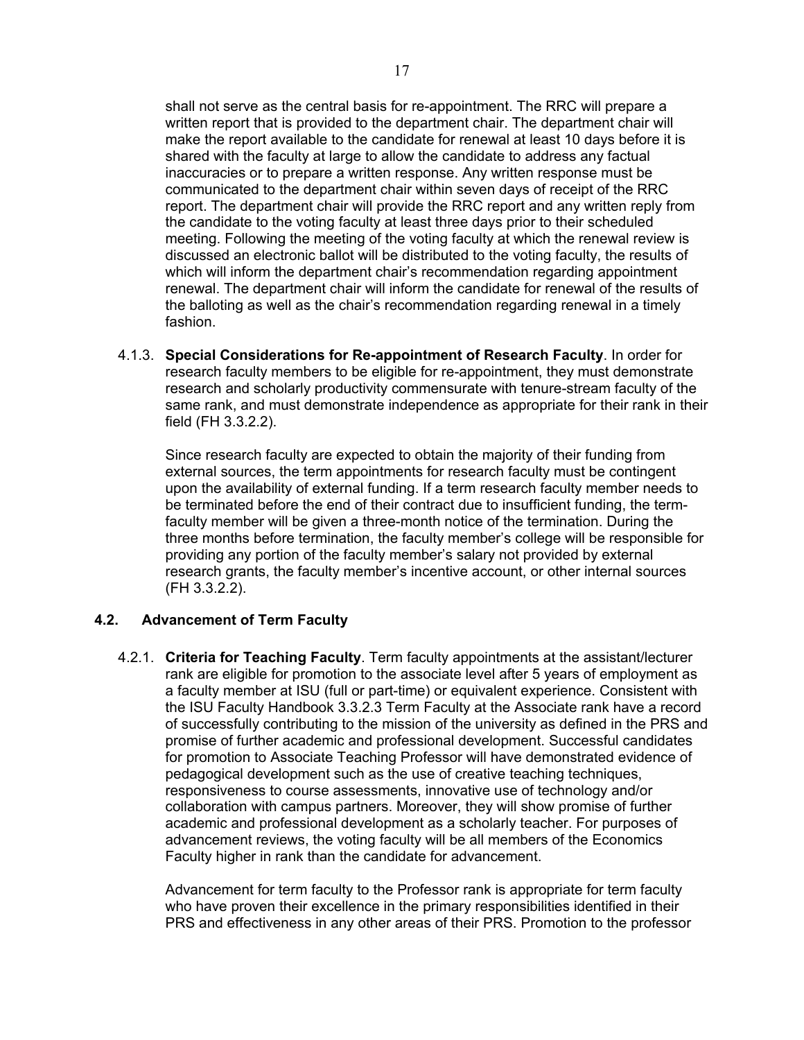shall not serve as the central basis for re-appointment. The RRC will prepare a written report that is provided to the department chair. The department chair will make the report available to the candidate for renewal at least 10 days before it is shared with the faculty at large to allow the candidate to address any factual inaccuracies or to prepare a written response. Any written response must be communicated to the department chair within seven days of receipt of the RRC report. The department chair will provide the RRC report and any written reply from the candidate to the voting faculty at least three days prior to their scheduled meeting. Following the meeting of the voting faculty at which the renewal review is discussed an electronic ballot will be distributed to the voting faculty, the results of which will inform the department chair's recommendation regarding appointment renewal. The department chair will inform the candidate for renewal of the results of the balloting as well as the chair's recommendation regarding renewal in a timely fashion.

4.1.3. **Special Considerations for Re-appointment of Research Faculty**. In order for research faculty members to be eligible for re-appointment, they must demonstrate research and scholarly productivity commensurate with tenure-stream faculty of the same rank, and must demonstrate independence as appropriate for their rank in their field (FH 3.3.2.2).

Since research faculty are expected to obtain the majority of their funding from external sources, the term appointments for research faculty must be contingent upon the availability of external funding. If a term research faculty member needs to be terminated before the end of their contract due to insufficient funding, the termfaculty member will be given a three-month notice of the termination. During the three months before termination, the faculty member's college will be responsible for providing any portion of the faculty member's salary not provided by external research grants, the faculty member's incentive account, or other internal sources (FH 3.3.2.2).

#### <span id="page-16-0"></span>**4.2. Advancement of Term Faculty**

4.2.1. **Criteria for Teaching Faculty**. Term faculty appointments at the assistant/lecturer rank are eligible for promotion to the associate level after 5 years of employment as a faculty member at ISU (full or part-time) or equivalent experience. Consistent with the ISU Faculty Handbook 3.3.2.3 Term Faculty at the Associate rank have a record of successfully contributing to the mission of the university as defined in the PRS and promise of further academic and professional development. Successful candidates for promotion to Associate Teaching Professor will have demonstrated evidence of pedagogical development such as the use of creative teaching techniques, responsiveness to course assessments, innovative use of technology and/or collaboration with campus partners. Moreover, they will show promise of further academic and professional development as a scholarly teacher. For purposes of advancement reviews, the voting faculty will be all members of the Economics Faculty higher in rank than the candidate for advancement.

Advancement for term faculty to the Professor rank is appropriate for term faculty who have proven their excellence in the primary responsibilities identified in their PRS and effectiveness in any other areas of their PRS. Promotion to the professor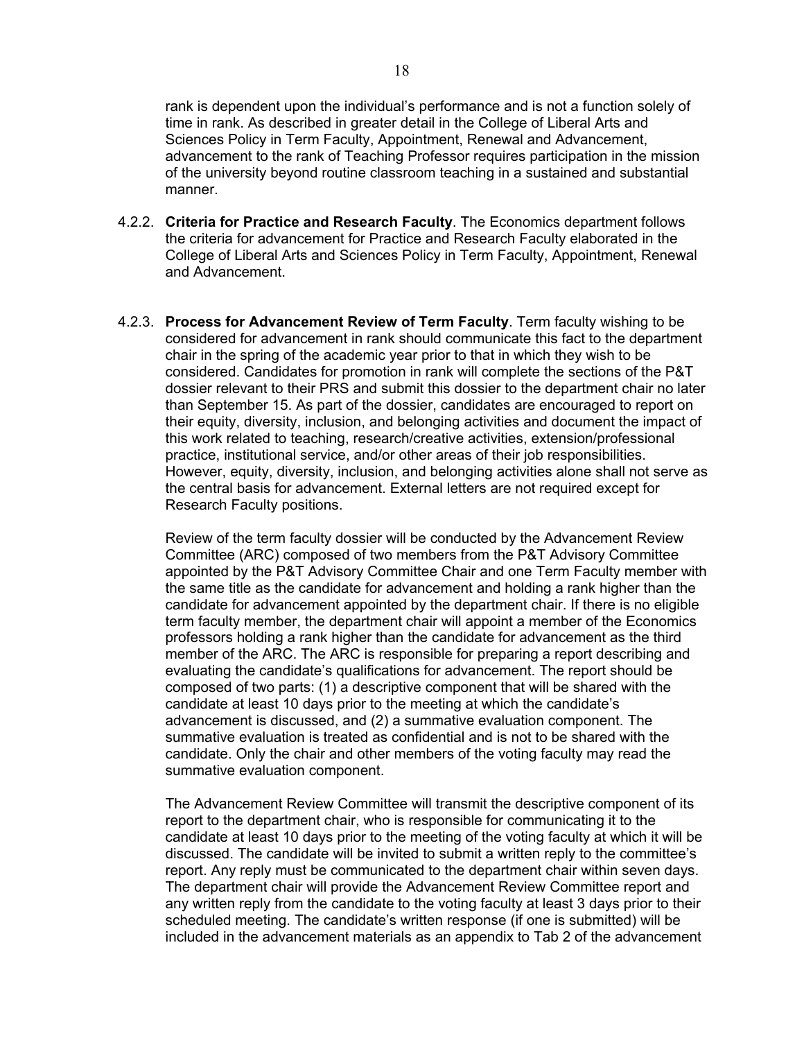rank is dependent upon the individual's performance and is not a function solely of time in rank. As described in greater detail in the College of Liberal Arts and Sciences Policy in Term Faculty, Appointment, Renewal and Advancement, advancement to the rank of Teaching Professor requires participation in the mission of the university beyond routine classroom teaching in a sustained and substantial manner.

- 4.2.2. **Criteria for Practice and Research Faculty**. The Economics department follows the criteria for advancement for Practice and Research Faculty elaborated in the College of Liberal Arts and Sciences Policy in Term Faculty, Appointment, Renewal and Advancement.
- 4.2.3. **Process for Advancement Review of Term Faculty**. Term faculty wishing to be considered for advancement in rank should communicate this fact to the department chair in the spring of the academic year prior to that in which they wish to be considered. Candidates for promotion in rank will complete the sections of the P&T dossier relevant to their PRS and submit this dossier to the department chair no later than September 15. As part of the dossier, candidates are encouraged to report on their equity, diversity, inclusion, and belonging activities and document the impact of this work related to teaching, research/creative activities, extension/professional practice, institutional service, and/or other areas of their job responsibilities. However, equity, diversity, inclusion, and belonging activities alone shall not serve as the central basis for advancement. External letters are not required except for Research Faculty positions.

Review of the term faculty dossier will be conducted by the Advancement Review Committee (ARC) composed of two members from the P&T Advisory Committee appointed by the P&T Advisory Committee Chair and one Term Faculty member with the same title as the candidate for advancement and holding a rank higher than the candidate for advancement appointed by the department chair. If there is no eligible term faculty member, the department chair will appoint a member of the Economics professors holding a rank higher than the candidate for advancement as the third member of the ARC. The ARC is responsible for preparing a report describing and evaluating the candidate's qualifications for advancement. The report should be composed of two parts: (1) a descriptive component that will be shared with the candidate at least 10 days prior to the meeting at which the candidate's advancement is discussed, and (2) a summative evaluation component. The summative evaluation is treated as confidential and is not to be shared with the candidate. Only the chair and other members of the voting faculty may read the summative evaluation component.

The Advancement Review Committee will transmit the descriptive component of its report to the department chair, who is responsible for communicating it to the candidate at least 10 days prior to the meeting of the voting faculty at which it will be discussed. The candidate will be invited to submit a written reply to the committee's report. Any reply must be communicated to the department chair within seven days. The department chair will provide the Advancement Review Committee report and any written reply from the candidate to the voting faculty at least 3 days prior to their scheduled meeting. The candidate's written response (if one is submitted) will be included in the advancement materials as an appendix to Tab 2 of the advancement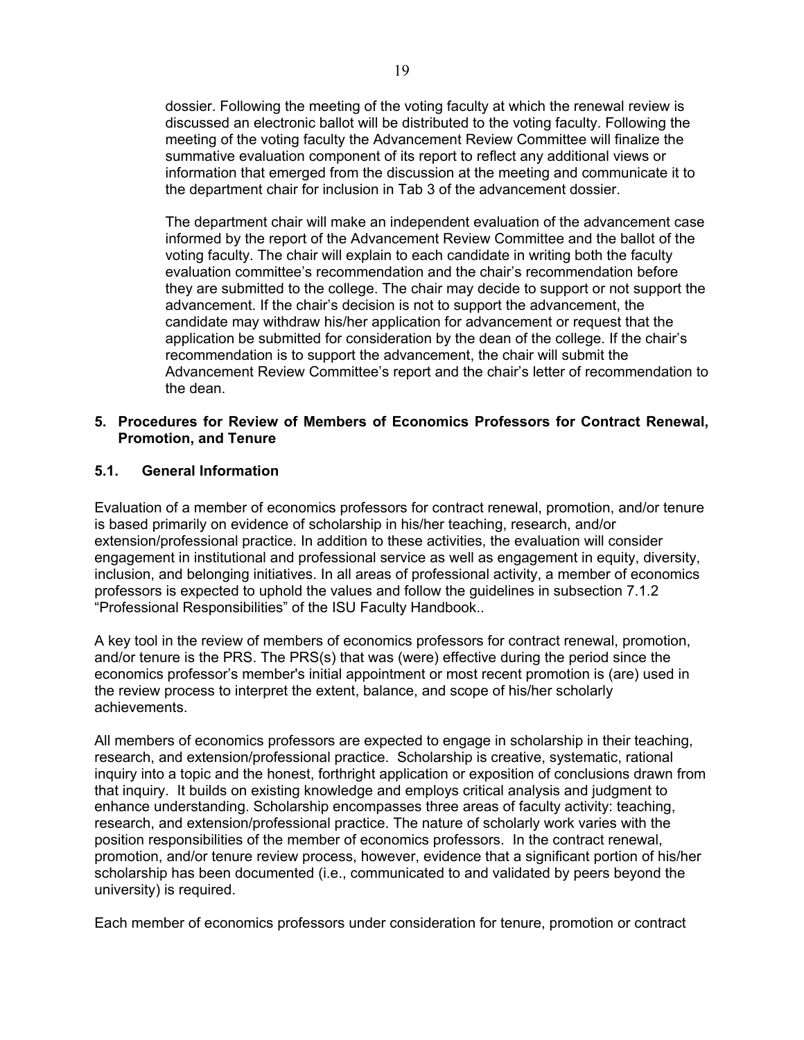dossier. Following the meeting of the voting faculty at which the renewal review is discussed an electronic ballot will be distributed to the voting faculty. Following the meeting of the voting faculty the Advancement Review Committee will finalize the summative evaluation component of its report to reflect any additional views or information that emerged from the discussion at the meeting and communicate it to the department chair for inclusion in Tab 3 of the advancement dossier.

The department chair will make an independent evaluation of the advancement case informed by the report of the Advancement Review Committee and the ballot of the voting faculty. The chair will explain to each candidate in writing both the faculty evaluation committee's recommendation and the chair's recommendation before they are submitted to the college. The chair may decide to support or not support the advancement. If the chair's decision is not to support the advancement, the candidate may withdraw his/her application for advancement or request that the application be submitted for consideration by the dean of the college. If the chair's recommendation is to support the advancement, the chair will submit the Advancement Review Committee's report and the chair's letter of recommendation to the dean.

#### <span id="page-18-0"></span>**5. Procedures for Review of Members of Economics Professors for Contract Renewal, Promotion, and Tenure**

#### <span id="page-18-1"></span>**5.1. General Information**

Evaluation of a member of economics professors for contract renewal, promotion, and/or tenure is based primarily on evidence of scholarship in his/her teaching, research, and/or extension/professional practice. In addition to these activities, the evaluation will consider engagement in institutional and professional service as well as engagement in equity, diversity, inclusion, and belonging initiatives. In all areas of professional activity, a member of economics professors is expected to uphold the values and follow the guidelines in subsection 7.1.2 "Professional Responsibilities" of the ISU Faculty Handbook..

A key tool in the review of members of economics professors for contract renewal, promotion, and/or tenure is the PRS. The PRS(s) that was (were) effective during the period since the economics professor's member's initial appointment or most recent promotion is (are) used in the review process to interpret the extent, balance, and scope of his/her scholarly achievements.

All members of economics professors are expected to engage in scholarship in their teaching, research, and extension/professional practice. Scholarship is creative, systematic, rational inquiry into a topic and the honest, forthright application or exposition of conclusions drawn from that inquiry. It builds on existing knowledge and employs critical analysis and judgment to enhance understanding. Scholarship encompasses three areas of faculty activity: teaching, research, and extension/professional practice. The nature of scholarly work varies with the position responsibilities of the member of economics professors. In the contract renewal, promotion, and/or tenure review process, however, evidence that a significant portion of his/her scholarship has been documented (i.e., communicated to and validated by peers beyond the university) is required.

Each member of economics professors under consideration for tenure, promotion or contract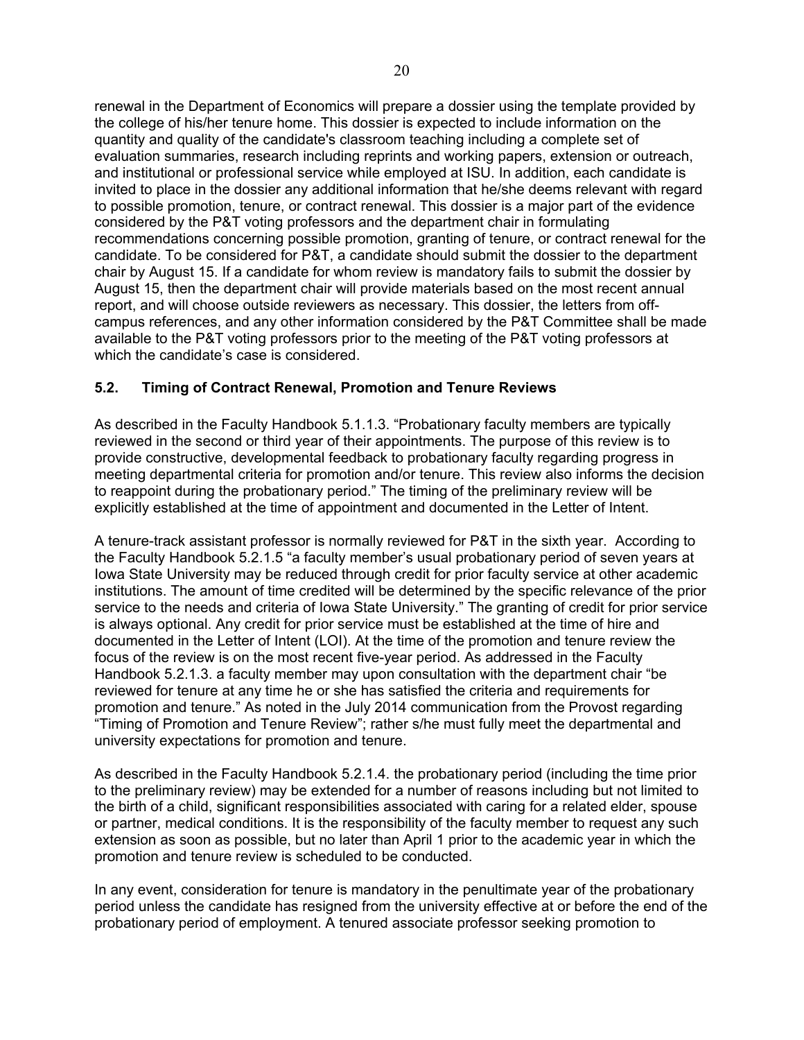renewal in the Department of Economics will prepare a dossier using the template provided by the college of his/her tenure home. This dossier is expected to include information on the quantity and quality of the candidate's classroom teaching including a complete set of evaluation summaries, research including reprints and working papers, extension or outreach, and institutional or professional service while employed at ISU. In addition, each candidate is invited to place in the dossier any additional information that he/she deems relevant with regard to possible promotion, tenure, or contract renewal. This dossier is a major part of the evidence considered by the P&T voting professors and the department chair in formulating recommendations concerning possible promotion, granting of tenure, or contract renewal for the candidate. To be considered for P&T, a candidate should submit the dossier to the department chair by August 15. If a candidate for whom review is mandatory fails to submit the dossier by August 15, then the department chair will provide materials based on the most recent annual report, and will choose outside reviewers as necessary. This dossier, the letters from offcampus references, and any other information considered by the P&T Committee shall be made available to the P&T voting professors prior to the meeting of the P&T voting professors at which the candidate's case is considered.

## <span id="page-19-0"></span>**5.2. Timing of Contract Renewal, Promotion and Tenure Reviews**

As described in the Faculty Handbook 5.1.1.3. "Probationary faculty members are typically reviewed in the second or third year of their appointments. The purpose of this review is to provide constructive, developmental feedback to probationary faculty regarding progress in meeting departmental criteria for promotion and/or tenure. This review also informs the decision to reappoint during the probationary period." The timing of the preliminary review will be explicitly established at the time of appointment and documented in the Letter of Intent.

A tenure-track assistant professor is normally reviewed for P&T in the sixth year. According to the Faculty Handbook 5.2.1.5 "a faculty member's usual probationary period of seven years at Iowa State University may be reduced through credit for prior faculty service at other academic institutions. The amount of time credited will be determined by the specific relevance of the prior service to the needs and criteria of Iowa State University." The granting of credit for prior service is always optional. Any credit for prior service must be established at the time of hire and documented in the Letter of Intent (LOI). At the time of the promotion and tenure review the focus of the review is on the most recent five-year period. As addressed in the Faculty Handbook 5.2.1.3. a faculty member may upon consultation with the department chair "be reviewed for tenure at any time he or she has satisfied the criteria and requirements for promotion and tenure." As noted in the July 2014 communication from the Provost regarding "Timing of Promotion and Tenure Review"; rather s/he must fully meet the departmental and university expectations for promotion and tenure.

As described in the Faculty Handbook 5.2.1.4. the probationary period (including the time prior to the preliminary review) may be extended for a number of reasons including but not limited to the birth of a child, significant responsibilities associated with caring for a related elder, spouse or partner, medical conditions. It is the responsibility of the faculty member to request any such extension as soon as possible, but no later than April 1 prior to the academic year in which the promotion and tenure review is scheduled to be conducted.

In any event, consideration for tenure is mandatory in the penultimate year of the probationary period unless the candidate has resigned from the university effective at or before the end of the probationary period of employment. A tenured associate professor seeking promotion to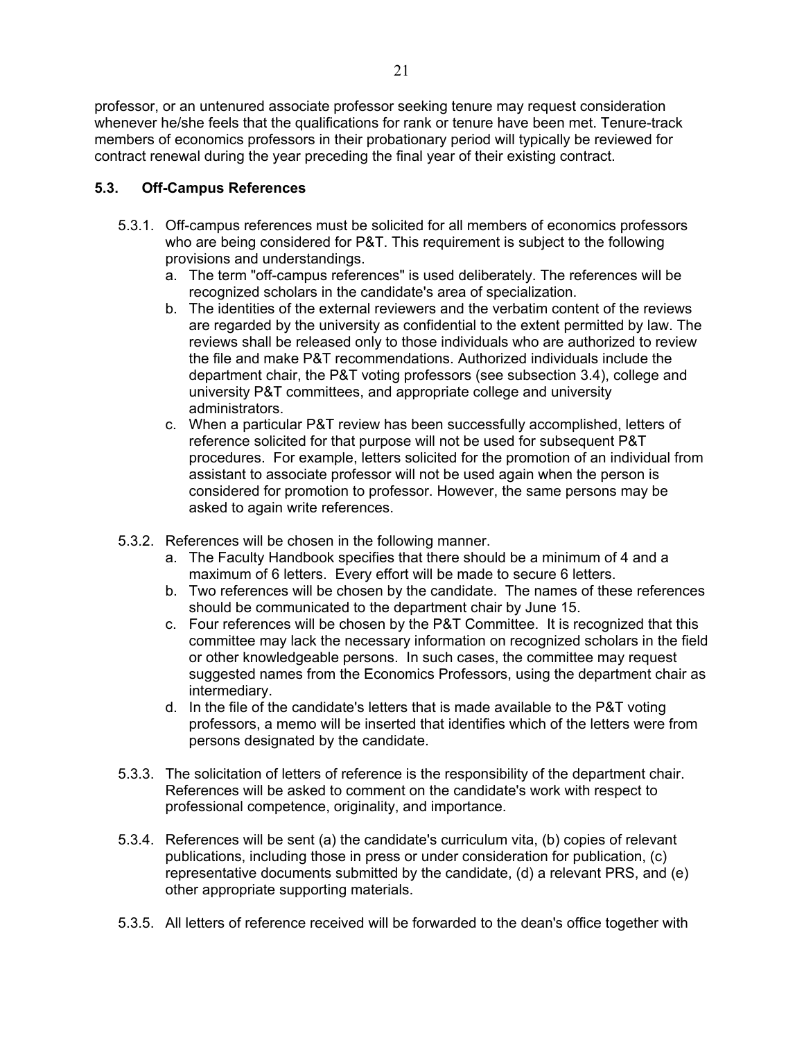professor, or an untenured associate professor seeking tenure may request consideration whenever he/she feels that the qualifications for rank or tenure have been met. Tenure-track members of economics professors in their probationary period will typically be reviewed for contract renewal during the year preceding the final year of their existing contract.

## <span id="page-20-0"></span>**5.3. Off-Campus References**

- 5.3.1. Off-campus references must be solicited for all members of economics professors who are being considered for P&T. This requirement is subject to the following provisions and understandings.
	- a. The term "off-campus references" is used deliberately. The references will be recognized scholars in the candidate's area of specialization.
	- b. The identities of the external reviewers and the verbatim content of the reviews are regarded by the university as confidential to the extent permitted by law. The reviews shall be released only to those individuals who are authorized to review the file and make P&T recommendations. Authorized individuals include the department chair, the P&T voting professors (see subsection 3.4), college and university P&T committees, and appropriate college and university administrators.
	- c. When a particular P&T review has been successfully accomplished, letters of reference solicited for that purpose will not be used for subsequent P&T procedures. For example, letters solicited for the promotion of an individual from assistant to associate professor will not be used again when the person is considered for promotion to professor. However, the same persons may be asked to again write references.
- 5.3.2. References will be chosen in the following manner.
	- a. The Faculty Handbook specifies that there should be a minimum of 4 and a maximum of 6 letters. Every effort will be made to secure 6 letters.
	- b. Two references will be chosen by the candidate. The names of these references should be communicated to the department chair by June 15.
	- c. Four references will be chosen by the P&T Committee. It is recognized that this committee may lack the necessary information on recognized scholars in the field or other knowledgeable persons. In such cases, the committee may request suggested names from the Economics Professors, using the department chair as intermediary.
	- d. In the file of the candidate's letters that is made available to the P&T voting professors, a memo will be inserted that identifies which of the letters were from persons designated by the candidate.
- 5.3.3. The solicitation of letters of reference is the responsibility of the department chair. References will be asked to comment on the candidate's work with respect to professional competence, originality, and importance.
- 5.3.4. References will be sent (a) the candidate's curriculum vita, (b) copies of relevant publications, including those in press or under consideration for publication, (c) representative documents submitted by the candidate, (d) a relevant PRS, and (e) other appropriate supporting materials.
- 5.3.5. All letters of reference received will be forwarded to the dean's office together with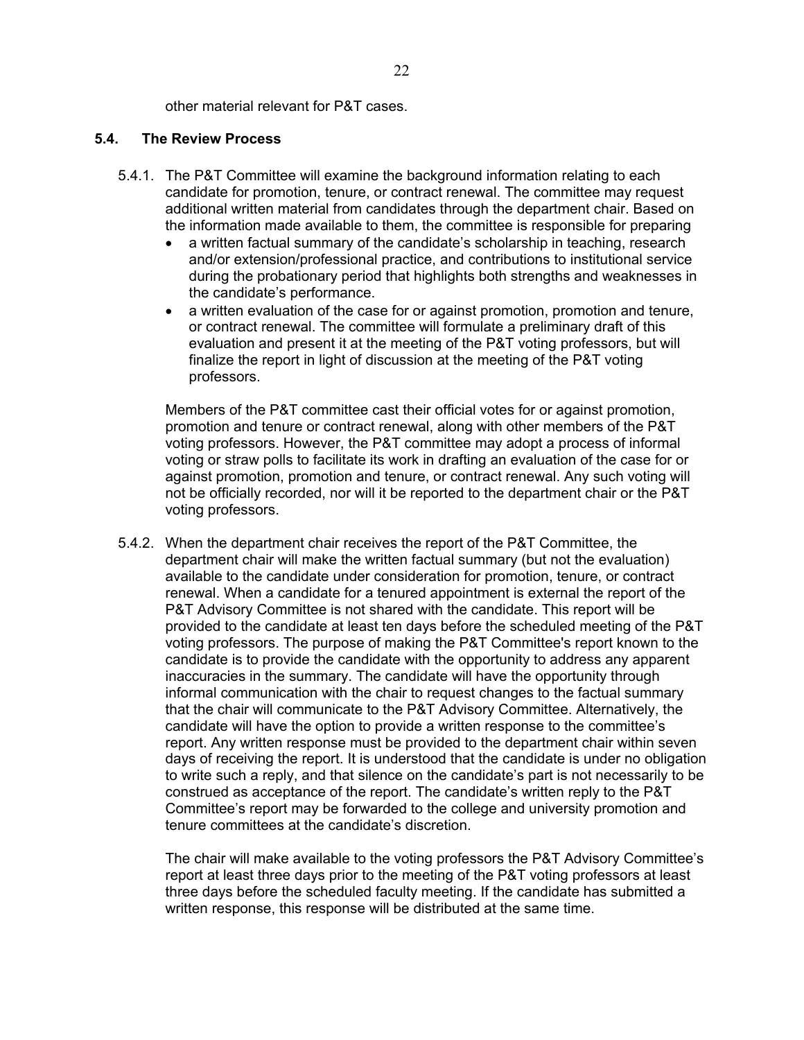other material relevant for P&T cases.

#### <span id="page-21-0"></span>**5.4. The Review Process**

- 5.4.1. The P&T Committee will examine the background information relating to each candidate for promotion, tenure, or contract renewal. The committee may request additional written material from candidates through the department chair. Based on the information made available to them, the committee is responsible for preparing
	- a written factual summary of the candidate's scholarship in teaching, research and/or extension/professional practice, and contributions to institutional service during the probationary period that highlights both strengths and weaknesses in the candidate's performance.
	- a written evaluation of the case for or against promotion, promotion and tenure, or contract renewal. The committee will formulate a preliminary draft of this evaluation and present it at the meeting of the P&T voting professors, but will finalize the report in light of discussion at the meeting of the P&T voting professors.

Members of the P&T committee cast their official votes for or against promotion, promotion and tenure or contract renewal, along with other members of the P&T voting professors. However, the P&T committee may adopt a process of informal voting or straw polls to facilitate its work in drafting an evaluation of the case for or against promotion, promotion and tenure, or contract renewal. Any such voting will not be officially recorded, nor will it be reported to the department chair or the P&T voting professors.

5.4.2. When the department chair receives the report of the P&T Committee, the department chair will make the written factual summary (but not the evaluation) available to the candidate under consideration for promotion, tenure, or contract renewal. When a candidate for a tenured appointment is external the report of the P&T Advisory Committee is not shared with the candidate. This report will be provided to the candidate at least ten days before the scheduled meeting of the P&T voting professors. The purpose of making the P&T Committee's report known to the candidate is to provide the candidate with the opportunity to address any apparent inaccuracies in the summary. The candidate will have the opportunity through informal communication with the chair to request changes to the factual summary that the chair will communicate to the P&T Advisory Committee. Alternatively, the candidate will have the option to provide a written response to the committee's report. Any written response must be provided to the department chair within seven days of receiving the report. It is understood that the candidate is under no obligation to write such a reply, and that silence on the candidate's part is not necessarily to be construed as acceptance of the report. The candidate's written reply to the P&T Committee's report may be forwarded to the college and university promotion and tenure committees at the candidate's discretion.

The chair will make available to the voting professors the P&T Advisory Committee's report at least three days prior to the meeting of the P&T voting professors at least three days before the scheduled faculty meeting. If the candidate has submitted a written response, this response will be distributed at the same time.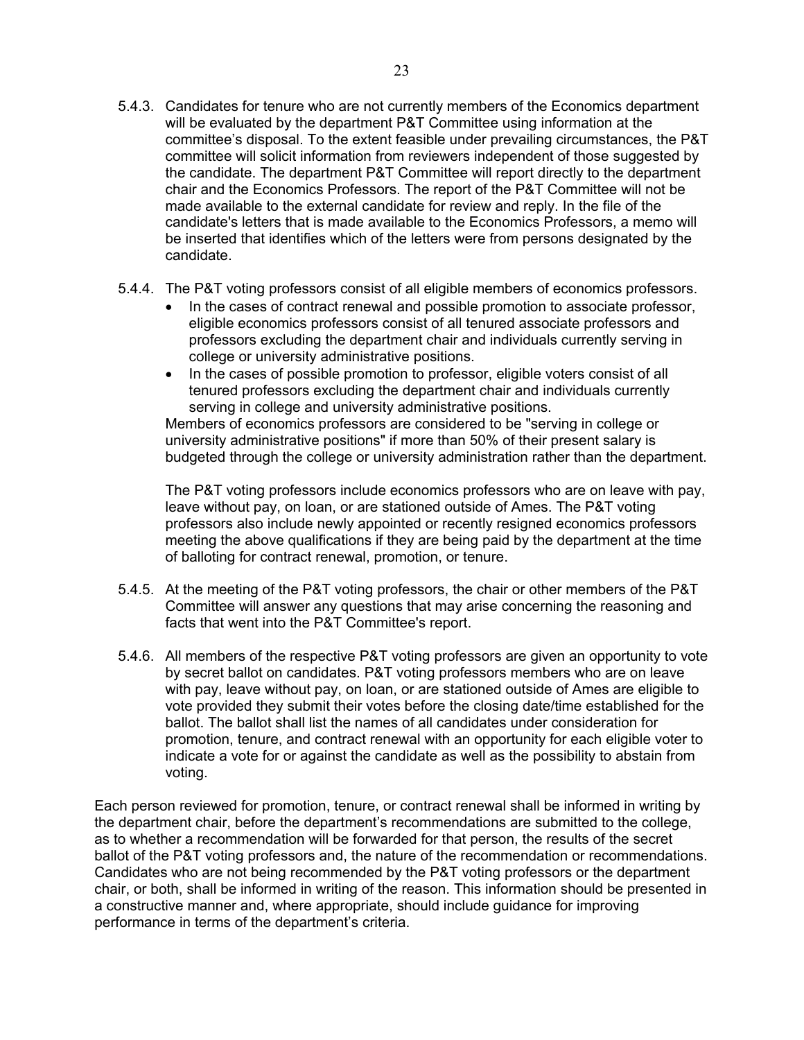- 5.4.3. Candidates for tenure who are not currently members of the Economics department will be evaluated by the department P&T Committee using information at the committee's disposal. To the extent feasible under prevailing circumstances, the P&T committee will solicit information from reviewers independent of those suggested by the candidate. The department P&T Committee will report directly to the department chair and the Economics Professors. The report of the P&T Committee will not be made available to the external candidate for review and reply. In the file of the candidate's letters that is made available to the Economics Professors, a memo will be inserted that identifies which of the letters were from persons designated by the candidate.
- 5.4.4. The P&T voting professors consist of all eligible members of economics professors.
	- In the cases of contract renewal and possible promotion to associate professor, eligible economics professors consist of all tenured associate professors and professors excluding the department chair and individuals currently serving in college or university administrative positions.
	- In the cases of possible promotion to professor, eligible voters consist of all tenured professors excluding the department chair and individuals currently serving in college and university administrative positions.

Members of economics professors are considered to be "serving in college or university administrative positions" if more than 50% of their present salary is budgeted through the college or university administration rather than the department.

The P&T voting professors include economics professors who are on leave with pay, leave without pay, on loan, or are stationed outside of Ames. The P&T voting professors also include newly appointed or recently resigned economics professors meeting the above qualifications if they are being paid by the department at the time of balloting for contract renewal, promotion, or tenure.

- 5.4.5. At the meeting of the P&T voting professors, the chair or other members of the P&T Committee will answer any questions that may arise concerning the reasoning and facts that went into the P&T Committee's report.
- 5.4.6. All members of the respective P&T voting professors are given an opportunity to vote by secret ballot on candidates. P&T voting professors members who are on leave with pay, leave without pay, on loan, or are stationed outside of Ames are eligible to vote provided they submit their votes before the closing date/time established for the ballot. The ballot shall list the names of all candidates under consideration for promotion, tenure, and contract renewal with an opportunity for each eligible voter to indicate a vote for or against the candidate as well as the possibility to abstain from voting.

Each person reviewed for promotion, tenure, or contract renewal shall be informed in writing by the department chair, before the department's recommendations are submitted to the college, as to whether a recommendation will be forwarded for that person, the results of the secret ballot of the P&T voting professors and, the nature of the recommendation or recommendations. Candidates who are not being recommended by the P&T voting professors or the department chair, or both, shall be informed in writing of the reason. This information should be presented in a constructive manner and, where appropriate, should include guidance for improving performance in terms of the department's criteria.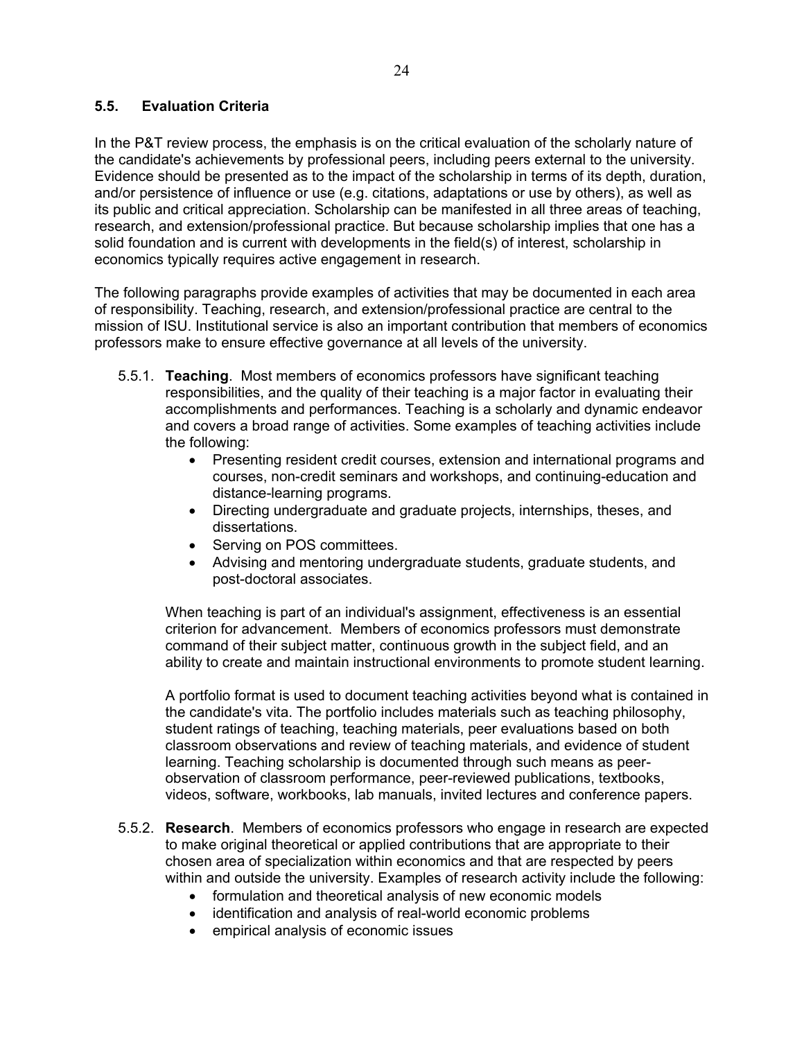## <span id="page-23-0"></span>**5.5. Evaluation Criteria**

In the P&T review process, the emphasis is on the critical evaluation of the scholarly nature of the candidate's achievements by professional peers, including peers external to the university. Evidence should be presented as to the impact of the scholarship in terms of its depth, duration, and/or persistence of influence or use (e.g. citations, adaptations or use by others), as well as its public and critical appreciation. Scholarship can be manifested in all three areas of teaching, research, and extension/professional practice. But because scholarship implies that one has a solid foundation and is current with developments in the field(s) of interest, scholarship in economics typically requires active engagement in research.

The following paragraphs provide examples of activities that may be documented in each area of responsibility. Teaching, research, and extension/professional practice are central to the mission of ISU. Institutional service is also an important contribution that members of economics professors make to ensure effective governance at all levels of the university.

- 5.5.1. **Teaching**. Most members of economics professors have significant teaching responsibilities, and the quality of their teaching is a major factor in evaluating their accomplishments and performances. Teaching is a scholarly and dynamic endeavor and covers a broad range of activities. Some examples of teaching activities include the following:
	- Presenting resident credit courses, extension and international programs and courses, non-credit seminars and workshops, and continuing-education and distance-learning programs.
	- Directing undergraduate and graduate projects, internships, theses, and dissertations.
	- Serving on POS committees.
	- Advising and mentoring undergraduate students, graduate students, and post-doctoral associates.

When teaching is part of an individual's assignment, effectiveness is an essential criterion for advancement. Members of economics professors must demonstrate command of their subject matter, continuous growth in the subject field, and an ability to create and maintain instructional environments to promote student learning.

A portfolio format is used to document teaching activities beyond what is contained in the candidate's vita. The portfolio includes materials such as teaching philosophy, student ratings of teaching, teaching materials, peer evaluations based on both classroom observations and review of teaching materials, and evidence of student learning. Teaching scholarship is documented through such means as peerobservation of classroom performance, peer-reviewed publications, textbooks, videos, software, workbooks, lab manuals, invited lectures and conference papers.

- 5.5.2. **Research**. Members of economics professors who engage in research are expected to make original theoretical or applied contributions that are appropriate to their chosen area of specialization within economics and that are respected by peers within and outside the university. Examples of research activity include the following:
	- formulation and theoretical analysis of new economic models
	- identification and analysis of real-world economic problems
	- empirical analysis of economic issues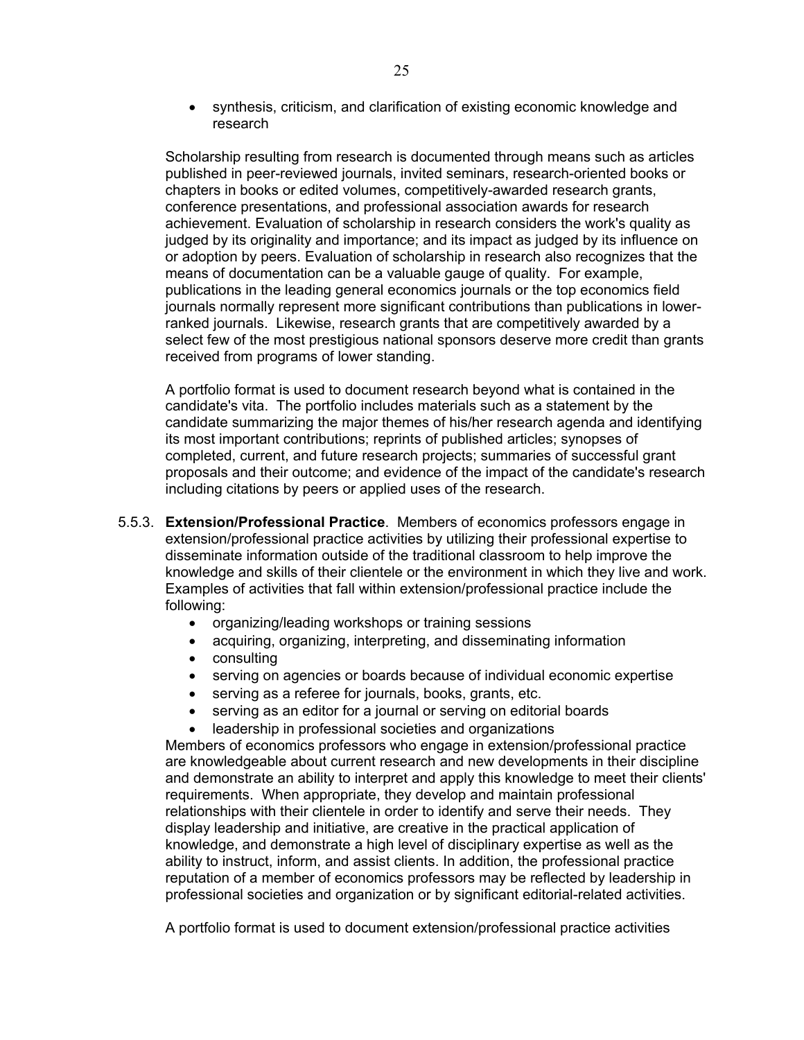synthesis, criticism, and clarification of existing economic knowledge and research

Scholarship resulting from research is documented through means such as articles published in peer-reviewed journals, invited seminars, research-oriented books or chapters in books or edited volumes, competitively-awarded research grants, conference presentations, and professional association awards for research achievement. Evaluation of scholarship in research considers the work's quality as judged by its originality and importance; and its impact as judged by its influence on or adoption by peers. Evaluation of scholarship in research also recognizes that the means of documentation can be a valuable gauge of quality. For example, publications in the leading general economics journals or the top economics field journals normally represent more significant contributions than publications in lowerranked journals. Likewise, research grants that are competitively awarded by a select few of the most prestigious national sponsors deserve more credit than grants received from programs of lower standing.

A portfolio format is used to document research beyond what is contained in the candidate's vita. The portfolio includes materials such as a statement by the candidate summarizing the major themes of his/her research agenda and identifying its most important contributions; reprints of published articles; synopses of completed, current, and future research projects; summaries of successful grant proposals and their outcome; and evidence of the impact of the candidate's research including citations by peers or applied uses of the research.

- 5.5.3. **Extension/Professional Practice**. Members of economics professors engage in extension/professional practice activities by utilizing their professional expertise to disseminate information outside of the traditional classroom to help improve the knowledge and skills of their clientele or the environment in which they live and work. Examples of activities that fall within extension/professional practice include the following:
	- organizing/leading workshops or training sessions
	- acquiring, organizing, interpreting, and disseminating information
	- consulting
	- serving on agencies or boards because of individual economic expertise
	- serving as a referee for journals, books, grants, etc.
	- serving as an editor for a journal or serving on editorial boards
	- leadership in professional societies and organizations

Members of economics professors who engage in extension/professional practice are knowledgeable about current research and new developments in their discipline and demonstrate an ability to interpret and apply this knowledge to meet their clients' requirements. When appropriate, they develop and maintain professional relationships with their clientele in order to identify and serve their needs. They display leadership and initiative, are creative in the practical application of knowledge, and demonstrate a high level of disciplinary expertise as well as the ability to instruct, inform, and assist clients. In addition, the professional practice reputation of a member of economics professors may be reflected by leadership in professional societies and organization or by significant editorial-related activities.

A portfolio format is used to document extension/professional practice activities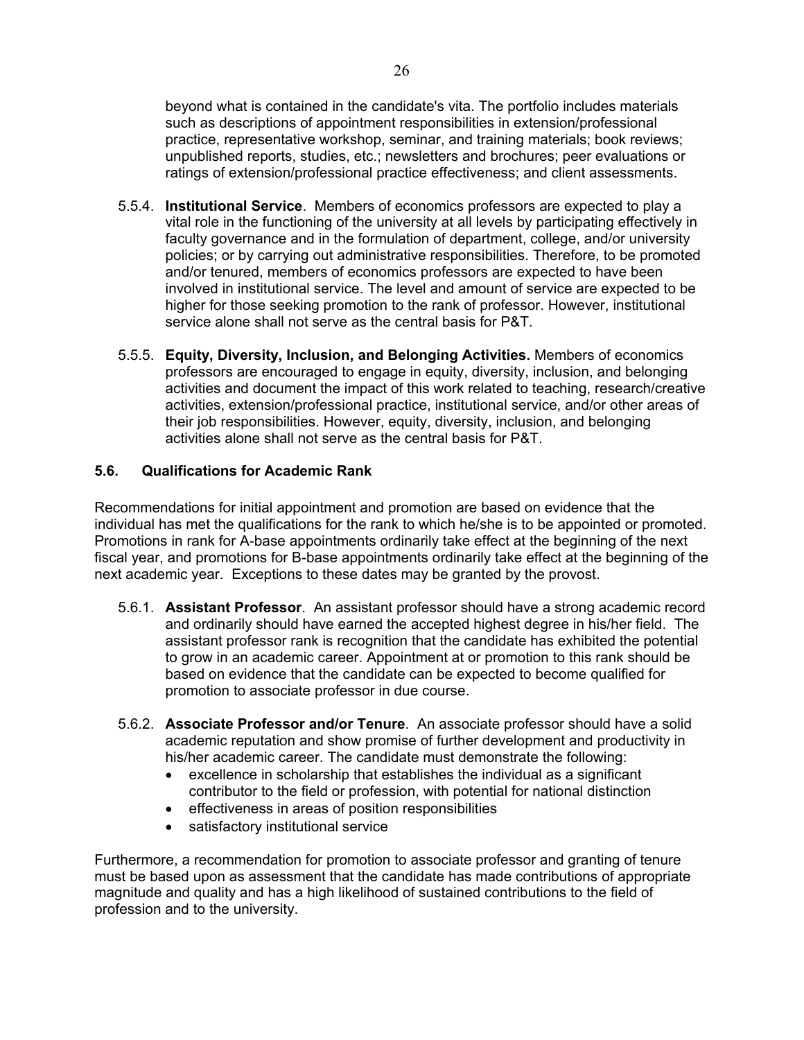beyond what is contained in the candidate's vita. The portfolio includes materials such as descriptions of appointment responsibilities in extension/professional practice, representative workshop, seminar, and training materials; book reviews; unpublished reports, studies, etc.; newsletters and brochures; peer evaluations or ratings of extension/professional practice effectiveness; and client assessments.

- 5.5.4. **Institutional Service**. Members of economics professors are expected to play a vital role in the functioning of the university at all levels by participating effectively in faculty governance and in the formulation of department, college, and/or university policies; or by carrying out administrative responsibilities. Therefore, to be promoted and/or tenured, members of economics professors are expected to have been involved in institutional service. The level and amount of service are expected to be higher for those seeking promotion to the rank of professor. However, institutional service alone shall not serve as the central basis for P&T.
- 5.5.5. **Equity, Diversity, Inclusion, and Belonging Activities.** Members of economics professors are encouraged to engage in equity, diversity, inclusion, and belonging activities and document the impact of this work related to teaching, research/creative activities, extension/professional practice, institutional service, and/or other areas of their job responsibilities. However, equity, diversity, inclusion, and belonging activities alone shall not serve as the central basis for P&T.

#### <span id="page-25-0"></span>**5.6. Qualifications for Academic Rank**

Recommendations for initial appointment and promotion are based on evidence that the individual has met the qualifications for the rank to which he/she is to be appointed or promoted. Promotions in rank for A-base appointments ordinarily take effect at the beginning of the next fiscal year, and promotions for B-base appointments ordinarily take effect at the beginning of the next academic year. Exceptions to these dates may be granted by the provost.

- 5.6.1. **Assistant Professor**. An assistant professor should have a strong academic record and ordinarily should have earned the accepted highest degree in his/her field. The assistant professor rank is recognition that the candidate has exhibited the potential to grow in an academic career. Appointment at or promotion to this rank should be based on evidence that the candidate can be expected to become qualified for promotion to associate professor in due course.
- 5.6.2. **Associate Professor and/or Tenure**. An associate professor should have a solid academic reputation and show promise of further development and productivity in his/her academic career. The candidate must demonstrate the following:
	- excellence in scholarship that establishes the individual as a significant contributor to the field or profession, with potential for national distinction
	- effectiveness in areas of position responsibilities
	- satisfactory institutional service

Furthermore, a recommendation for promotion to associate professor and granting of tenure must be based upon as assessment that the candidate has made contributions of appropriate magnitude and quality and has a high likelihood of sustained contributions to the field of profession and to the university.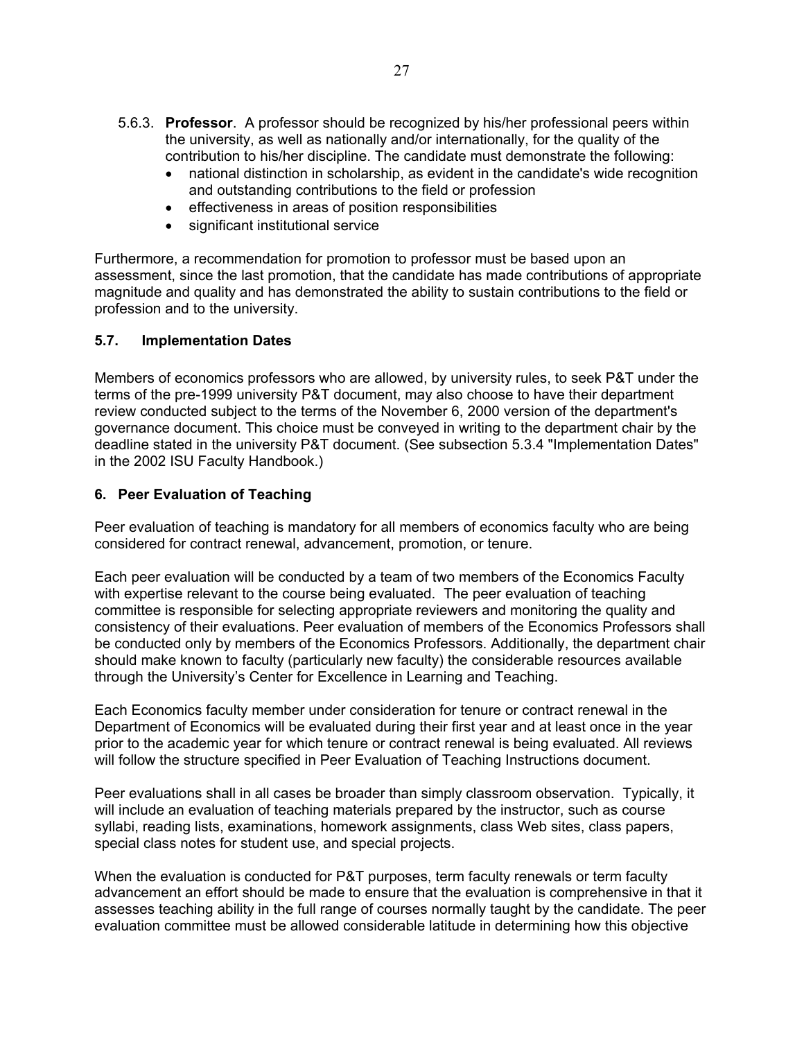- 5.6.3. **Professor**. A professor should be recognized by his/her professional peers within the university, as well as nationally and/or internationally, for the quality of the contribution to his/her discipline. The candidate must demonstrate the following:
	- national distinction in scholarship, as evident in the candidate's wide recognition and outstanding contributions to the field or profession
	- effectiveness in areas of position responsibilities
	- significant institutional service

Furthermore, a recommendation for promotion to professor must be based upon an assessment, since the last promotion, that the candidate has made contributions of appropriate magnitude and quality and has demonstrated the ability to sustain contributions to the field or profession and to the university.

## <span id="page-26-0"></span>**5.7. Implementation Dates**

Members of economics professors who are allowed, by university rules, to seek P&T under the terms of the pre-1999 university P&T document, may also choose to have their department review conducted subject to the terms of the November 6, 2000 version of the department's governance document. This choice must be conveyed in writing to the department chair by the deadline stated in the university P&T document. (See subsection 5.3.4 "Implementation Dates" in the 2002 ISU Faculty Handbook.)

#### <span id="page-26-1"></span>**6. Peer Evaluation of Teaching**

Peer evaluation of teaching is mandatory for all members of economics faculty who are being considered for contract renewal, advancement, promotion, or tenure.

Each peer evaluation will be conducted by a team of two members of the Economics Faculty with expertise relevant to the course being evaluated. The peer evaluation of teaching committee is responsible for selecting appropriate reviewers and monitoring the quality and consistency of their evaluations. Peer evaluation of members of the Economics Professors shall be conducted only by members of the Economics Professors. Additionally, the department chair should make known to faculty (particularly new faculty) the considerable resources available through the University's Center for Excellence in Learning and Teaching.

Each Economics faculty member under consideration for tenure or contract renewal in the Department of Economics will be evaluated during their first year and at least once in the year prior to the academic year for which tenure or contract renewal is being evaluated. All reviews will follow the structure specified in Peer Evaluation of Teaching Instructions document.

Peer evaluations shall in all cases be broader than simply classroom observation. Typically, it will include an evaluation of teaching materials prepared by the instructor, such as course syllabi, reading lists, examinations, homework assignments, class Web sites, class papers, special class notes for student use, and special projects.

When the evaluation is conducted for P&T purposes, term faculty renewals or term faculty advancement an effort should be made to ensure that the evaluation is comprehensive in that it assesses teaching ability in the full range of courses normally taught by the candidate. The peer evaluation committee must be allowed considerable latitude in determining how this objective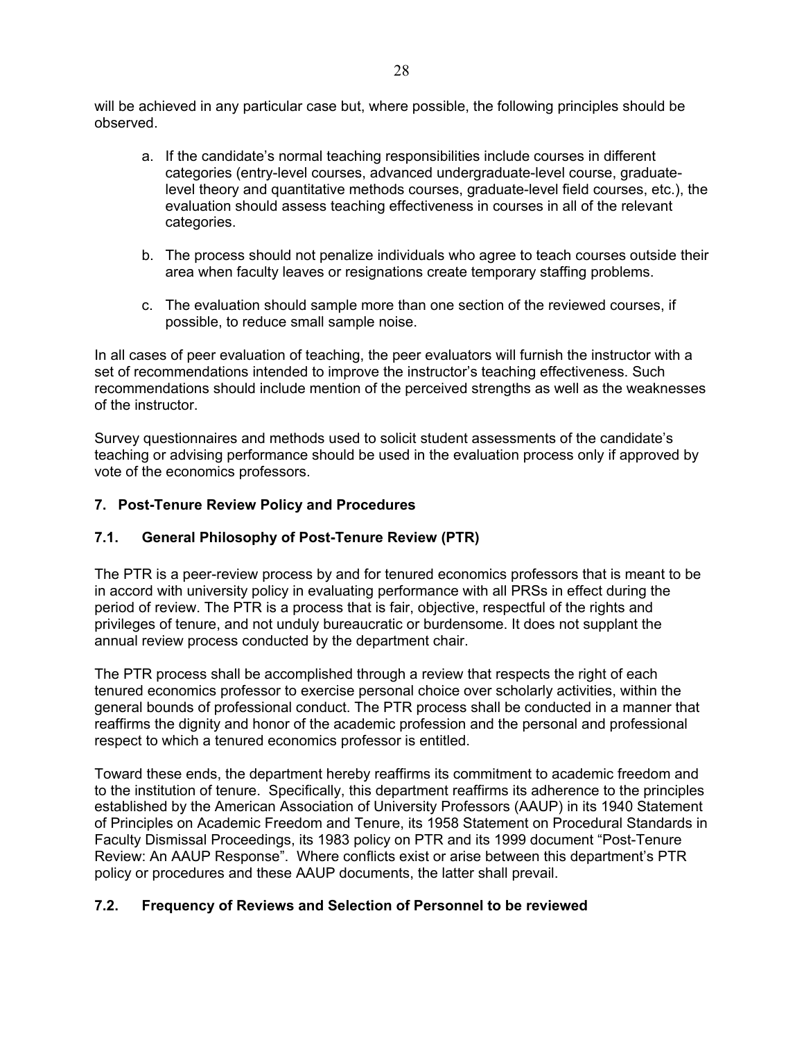will be achieved in any particular case but, where possible, the following principles should be observed.

- a. If the candidate's normal teaching responsibilities include courses in different categories (entry-level courses, advanced undergraduate-level course, graduatelevel theory and quantitative methods courses, graduate-level field courses, etc.), the evaluation should assess teaching effectiveness in courses in all of the relevant categories.
- b. The process should not penalize individuals who agree to teach courses outside their area when faculty leaves or resignations create temporary staffing problems.
- c. The evaluation should sample more than one section of the reviewed courses, if possible, to reduce small sample noise.

In all cases of peer evaluation of teaching, the peer evaluators will furnish the instructor with a set of recommendations intended to improve the instructor's teaching effectiveness. Such recommendations should include mention of the perceived strengths as well as the weaknesses of the instructor.

Survey questionnaires and methods used to solicit student assessments of the candidate's teaching or advising performance should be used in the evaluation process only if approved by vote of the economics professors.

## <span id="page-27-1"></span><span id="page-27-0"></span>**7. Post-Tenure Review Policy and Procedures**

## **7.1. General Philosophy of Post-Tenure Review (PTR)**

The PTR is a peer-review process by and for tenured economics professors that is meant to be in accord with university policy in evaluating performance with all PRSs in effect during the period of review. The PTR is a process that is fair, objective, respectful of the rights and privileges of tenure, and not unduly bureaucratic or burdensome. It does not supplant the annual review process conducted by the department chair.

The PTR process shall be accomplished through a review that respects the right of each tenured economics professor to exercise personal choice over scholarly activities, within the general bounds of professional conduct. The PTR process shall be conducted in a manner that reaffirms the dignity and honor of the academic profession and the personal and professional respect to which a tenured economics professor is entitled.

Toward these ends, the department hereby reaffirms its commitment to academic freedom and to the institution of tenure. Specifically, this department reaffirms its adherence to the principles established by the American Association of University Professors (AAUP) in its 1940 Statement of Principles on Academic Freedom and Tenure, its 1958 Statement on Procedural Standards in Faculty Dismissal Proceedings, its 1983 policy on PTR and its 1999 document "Post-Tenure Review: An AAUP Response". Where conflicts exist or arise between this department's PTR policy or procedures and these AAUP documents, the latter shall prevail.

#### <span id="page-27-2"></span>**7.2. Frequency of Reviews and Selection of Personnel to be reviewed**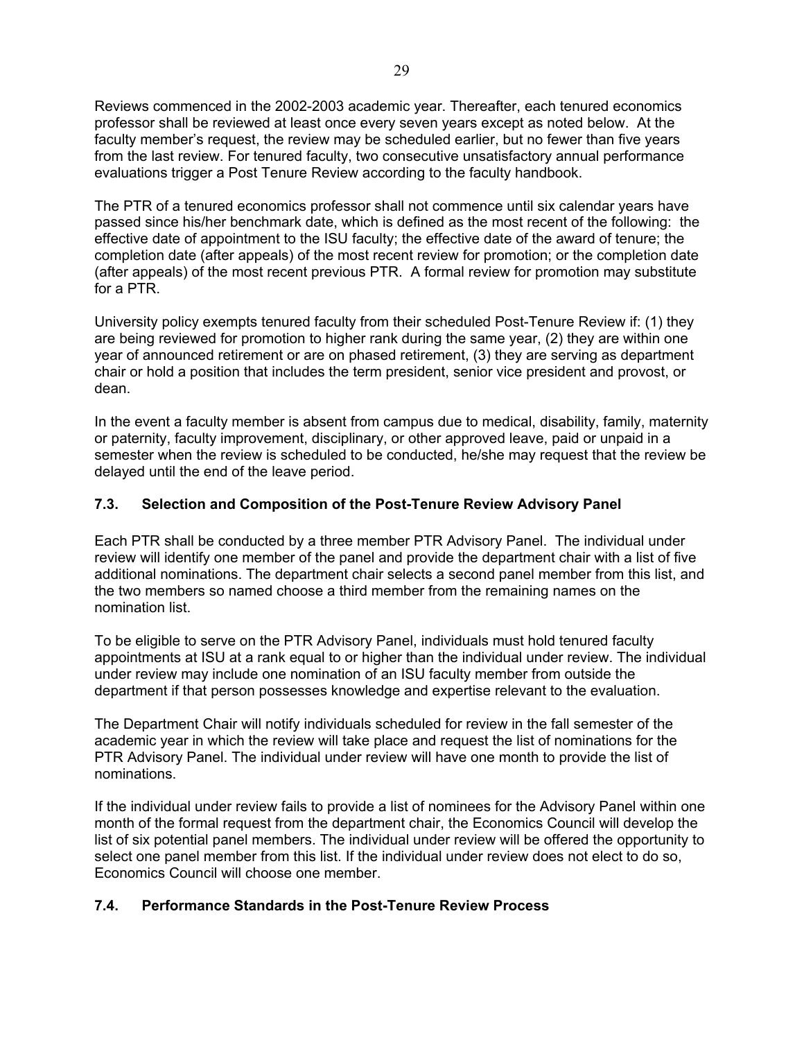Reviews commenced in the 2002-2003 academic year. Thereafter, each tenured economics professor shall be reviewed at least once every seven years except as noted below. At the faculty member's request, the review may be scheduled earlier, but no fewer than five years from the last review. For tenured faculty, two consecutive unsatisfactory annual performance evaluations trigger a Post Tenure Review according to the faculty handbook.

The PTR of a tenured economics professor shall not commence until six calendar years have passed since his/her benchmark date, which is defined as the most recent of the following: the effective date of appointment to the ISU faculty; the effective date of the award of tenure; the completion date (after appeals) of the most recent review for promotion; or the completion date (after appeals) of the most recent previous PTR. A formal review for promotion may substitute for a PTR.

University policy exempts tenured faculty from their scheduled Post-Tenure Review if: (1) they are being reviewed for promotion to higher rank during the same year, (2) they are within one year of announced retirement or are on phased retirement, (3) they are serving as department chair or hold a position that includes the term president, senior vice president and provost, or dean.

In the event a faculty member is absent from campus due to medical, disability, family, maternity or paternity, faculty improvement, disciplinary, or other approved leave, paid or unpaid in a semester when the review is scheduled to be conducted, he/she may request that the review be delayed until the end of the leave period.

## <span id="page-28-0"></span>**7.3. Selection and Composition of the Post-Tenure Review Advisory Panel**

Each PTR shall be conducted by a three member PTR Advisory Panel. The individual under review will identify one member of the panel and provide the department chair with a list of five additional nominations. The department chair selects a second panel member from this list, and the two members so named choose a third member from the remaining names on the nomination list.

To be eligible to serve on the PTR Advisory Panel, individuals must hold tenured faculty appointments at ISU at a rank equal to or higher than the individual under review. The individual under review may include one nomination of an ISU faculty member from outside the department if that person possesses knowledge and expertise relevant to the evaluation.

The Department Chair will notify individuals scheduled for review in the fall semester of the academic year in which the review will take place and request the list of nominations for the PTR Advisory Panel. The individual under review will have one month to provide the list of nominations.

If the individual under review fails to provide a list of nominees for the Advisory Panel within one month of the formal request from the department chair, the Economics Council will develop the list of six potential panel members. The individual under review will be offered the opportunity to select one panel member from this list. If the individual under review does not elect to do so, Economics Council will choose one member.

#### <span id="page-28-1"></span>**7.4. Performance Standards in the Post-Tenure Review Process**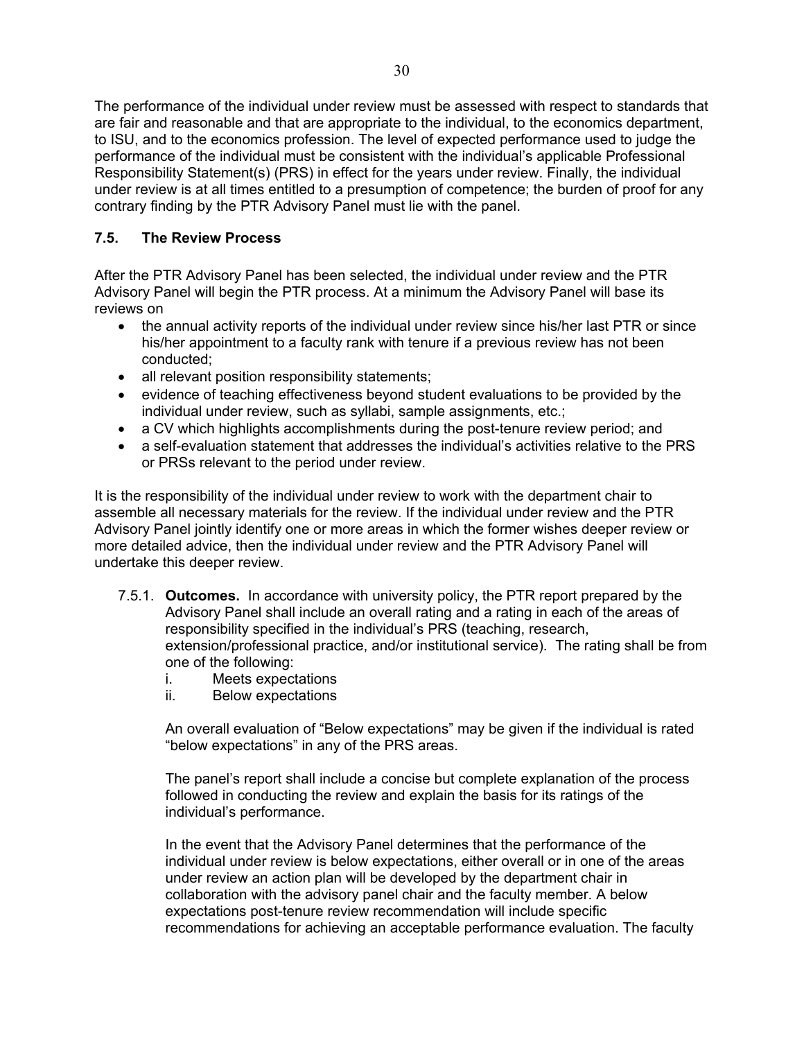The performance of the individual under review must be assessed with respect to standards that are fair and reasonable and that are appropriate to the individual, to the economics department, to ISU, and to the economics profession. The level of expected performance used to judge the performance of the individual must be consistent with the individual's applicable Professional Responsibility Statement(s) (PRS) in effect for the years under review. Finally, the individual under review is at all times entitled to a presumption of competence; the burden of proof for any contrary finding by the PTR Advisory Panel must lie with the panel.

## <span id="page-29-0"></span>**7.5. The Review Process**

After the PTR Advisory Panel has been selected, the individual under review and the PTR Advisory Panel will begin the PTR process. At a minimum the Advisory Panel will base its reviews on

- the annual activity reports of the individual under review since his/her last PTR or since his/her appointment to a faculty rank with tenure if a previous review has not been conducted;
- all relevant position responsibility statements;
- evidence of teaching effectiveness beyond student evaluations to be provided by the individual under review, such as syllabi, sample assignments, etc.;
- a CV which highlights accomplishments during the post-tenure review period; and
- a self-evaluation statement that addresses the individual's activities relative to the PRS or PRSs relevant to the period under review.

It is the responsibility of the individual under review to work with the department chair to assemble all necessary materials for the review. If the individual under review and the PTR Advisory Panel jointly identify one or more areas in which the former wishes deeper review or more detailed advice, then the individual under review and the PTR Advisory Panel will undertake this deeper review.

- 7.5.1. **Outcomes.** In accordance with university policy, the PTR report prepared by the Advisory Panel shall include an overall rating and a rating in each of the areas of responsibility specified in the individual's PRS (teaching, research, extension/professional practice, and/or institutional service). The rating shall be from one of the following:
	- i. Meets expectations
	- ii. Below expectations

An overall evaluation of "Below expectations" may be given if the individual is rated "below expectations" in any of the PRS areas.

The panel's report shall include a concise but complete explanation of the process followed in conducting the review and explain the basis for its ratings of the individual's performance.

In the event that the Advisory Panel determines that the performance of the individual under review is below expectations, either overall or in one of the areas under review an action plan will be developed by the department chair in collaboration with the advisory panel chair and the faculty member. A below expectations post-tenure review recommendation will include specific recommendations for achieving an acceptable performance evaluation. The faculty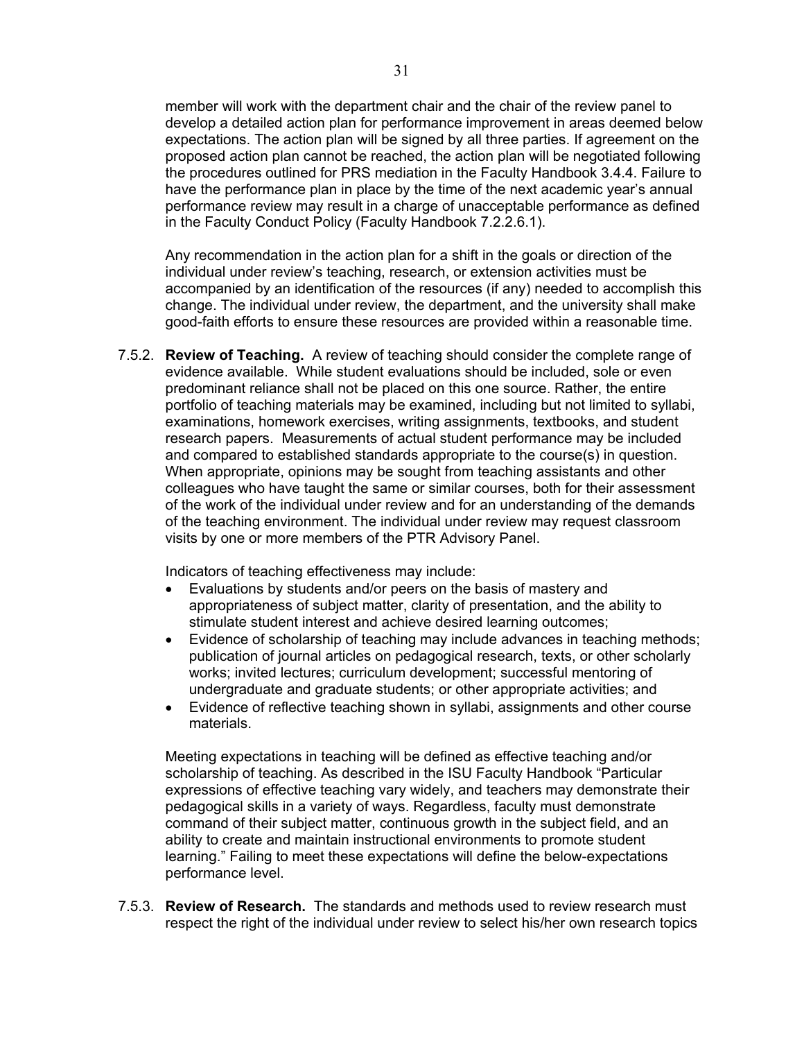member will work with the department chair and the chair of the review panel to develop a detailed action plan for performance improvement in areas deemed below expectations. The action plan will be signed by all three parties. If agreement on the proposed action plan cannot be reached, the action plan will be negotiated following the procedures outlined for PRS mediation in the Faculty Handbook 3.4.4. Failure to have the performance plan in place by the time of the next academic year's annual performance review may result in a charge of unacceptable performance as defined in the Faculty Conduct Policy (Faculty Handbook 7.2.2.6.1).

Any recommendation in the action plan for a shift in the goals or direction of the individual under review's teaching, research, or extension activities must be accompanied by an identification of the resources (if any) needed to accomplish this change. The individual under review, the department, and the university shall make good-faith efforts to ensure these resources are provided within a reasonable time.

7.5.2. **Review of Teaching.** A review of teaching should consider the complete range of evidence available. While student evaluations should be included, sole or even predominant reliance shall not be placed on this one source. Rather, the entire portfolio of teaching materials may be examined, including but not limited to syllabi, examinations, homework exercises, writing assignments, textbooks, and student research papers. Measurements of actual student performance may be included and compared to established standards appropriate to the course(s) in question. When appropriate, opinions may be sought from teaching assistants and other colleagues who have taught the same or similar courses, both for their assessment of the work of the individual under review and for an understanding of the demands of the teaching environment. The individual under review may request classroom visits by one or more members of the PTR Advisory Panel.

Indicators of teaching effectiveness may include:

- Evaluations by students and/or peers on the basis of mastery and appropriateness of subject matter, clarity of presentation, and the ability to stimulate student interest and achieve desired learning outcomes;
- Evidence of scholarship of teaching may include advances in teaching methods; publication of journal articles on pedagogical research, texts, or other scholarly works; invited lectures; curriculum development; successful mentoring of undergraduate and graduate students; or other appropriate activities; and
- Evidence of reflective teaching shown in syllabi, assignments and other course materials.

Meeting expectations in teaching will be defined as effective teaching and/or scholarship of teaching. As described in the ISU Faculty Handbook "Particular expressions of effective teaching vary widely, and teachers may demonstrate their pedagogical skills in a variety of ways. Regardless, faculty must demonstrate command of their subject matter, continuous growth in the subject field, and an ability to create and maintain instructional environments to promote student learning." Failing to meet these expectations will define the below-expectations performance level.

7.5.3. **Review of Research.** The standards and methods used to review research must respect the right of the individual under review to select his/her own research topics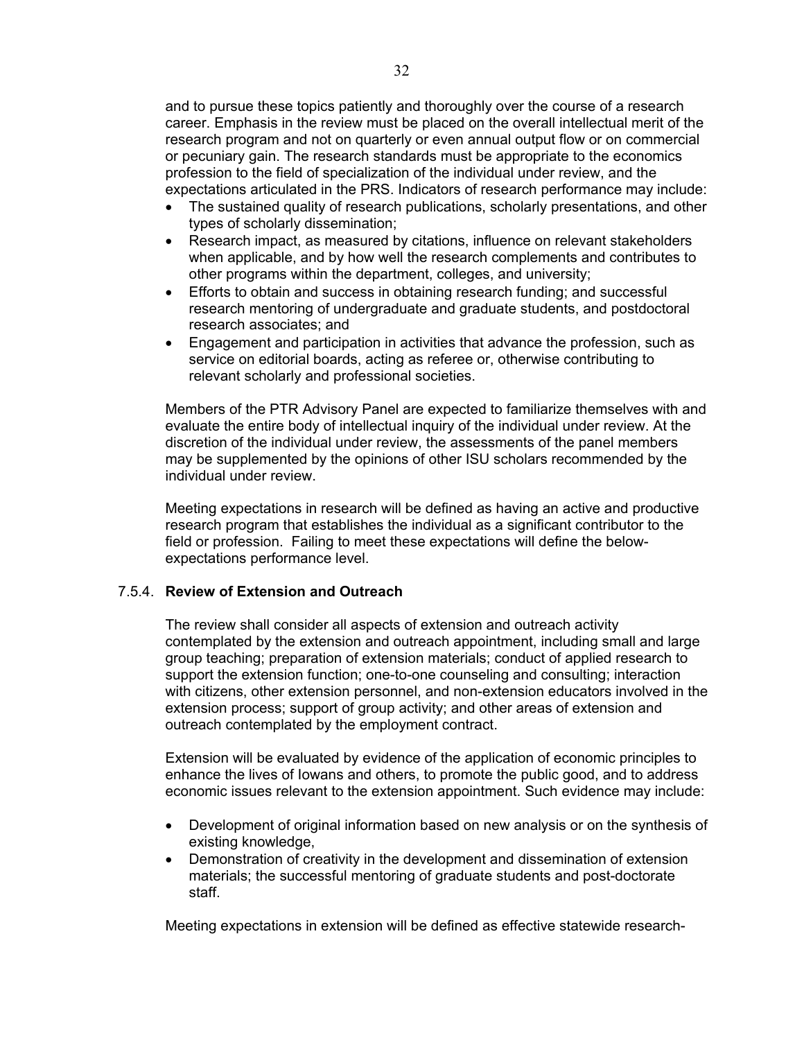and to pursue these topics patiently and thoroughly over the course of a research career. Emphasis in the review must be placed on the overall intellectual merit of the research program and not on quarterly or even annual output flow or on commercial or pecuniary gain. The research standards must be appropriate to the economics profession to the field of specialization of the individual under review, and the expectations articulated in the PRS. Indicators of research performance may include:

- The sustained quality of research publications, scholarly presentations, and other types of scholarly dissemination;
- Research impact, as measured by citations, influence on relevant stakeholders when applicable, and by how well the research complements and contributes to other programs within the department, colleges, and university;
- Efforts to obtain and success in obtaining research funding; and successful research mentoring of undergraduate and graduate students, and postdoctoral research associates; and
- Engagement and participation in activities that advance the profession, such as service on editorial boards, acting as referee or, otherwise contributing to relevant scholarly and professional societies.

Members of the PTR Advisory Panel are expected to familiarize themselves with and evaluate the entire body of intellectual inquiry of the individual under review. At the discretion of the individual under review, the assessments of the panel members may be supplemented by the opinions of other ISU scholars recommended by the individual under review.

Meeting expectations in research will be defined as having an active and productive research program that establishes the individual as a significant contributor to the field or profession. Failing to meet these expectations will define the belowexpectations performance level.

#### 7.5.4. **Review of Extension and Outreach**

The review shall consider all aspects of extension and outreach activity contemplated by the extension and outreach appointment, including small and large group teaching; preparation of extension materials; conduct of applied research to support the extension function; one-to-one counseling and consulting; interaction with citizens, other extension personnel, and non-extension educators involved in the extension process; support of group activity; and other areas of extension and outreach contemplated by the employment contract.

Extension will be evaluated by evidence of the application of economic principles to enhance the lives of Iowans and others, to promote the public good, and to address economic issues relevant to the extension appointment. Such evidence may include:

- Development of original information based on new analysis or on the synthesis of existing knowledge,
- Demonstration of creativity in the development and dissemination of extension materials; the successful mentoring of graduate students and post-doctorate staff.

Meeting expectations in extension will be defined as effective statewide research-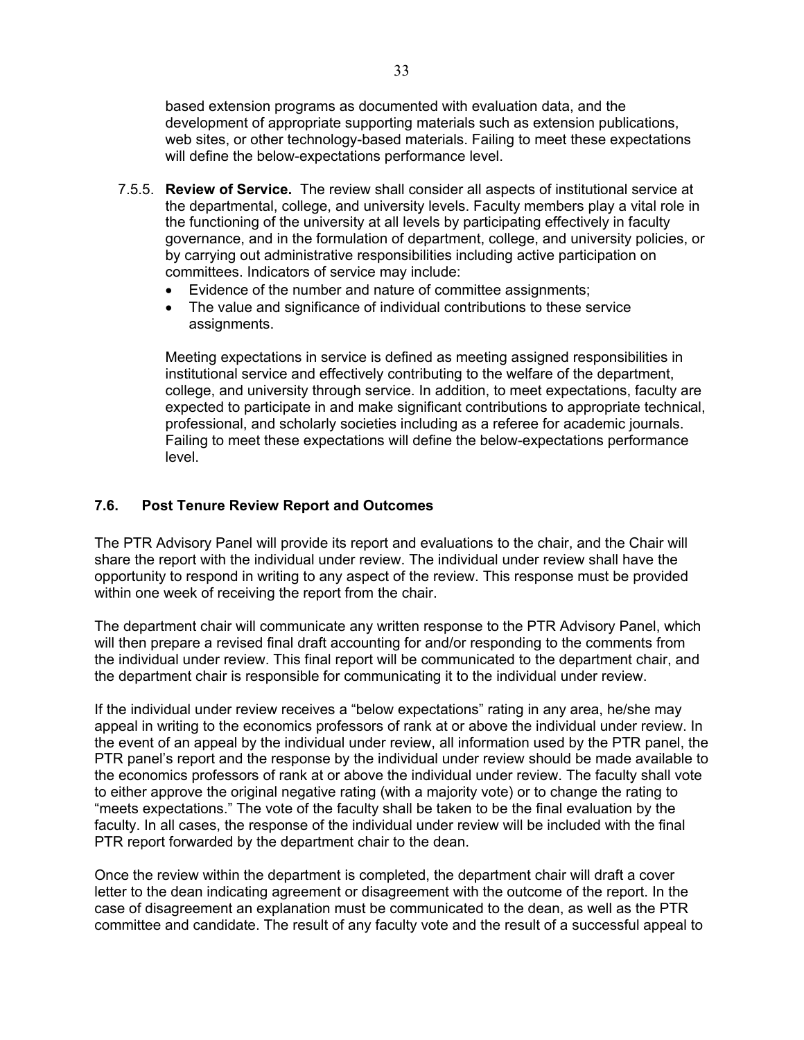based extension programs as documented with evaluation data, and the development of appropriate supporting materials such as extension publications, web sites, or other technology-based materials. Failing to meet these expectations will define the below-expectations performance level.

- 7.5.5. **Review of Service.** The review shall consider all aspects of institutional service at the departmental, college, and university levels. Faculty members play a vital role in the functioning of the university at all levels by participating effectively in faculty governance, and in the formulation of department, college, and university policies, or by carrying out administrative responsibilities including active participation on committees. Indicators of service may include:
	- Evidence of the number and nature of committee assignments;
	- The value and significance of individual contributions to these service assignments.

Meeting expectations in service is defined as meeting assigned responsibilities in institutional service and effectively contributing to the welfare of the department, college, and university through service. In addition, to meet expectations, faculty are expected to participate in and make significant contributions to appropriate technical, professional, and scholarly societies including as a referee for academic journals. Failing to meet these expectations will define the below-expectations performance level.

## <span id="page-32-0"></span>**7.6. Post Tenure Review Report and Outcomes**

The PTR Advisory Panel will provide its report and evaluations to the chair, and the Chair will share the report with the individual under review. The individual under review shall have the opportunity to respond in writing to any aspect of the review. This response must be provided within one week of receiving the report from the chair.

The department chair will communicate any written response to the PTR Advisory Panel, which will then prepare a revised final draft accounting for and/or responding to the comments from the individual under review. This final report will be communicated to the department chair, and the department chair is responsible for communicating it to the individual under review.

If the individual under review receives a "below expectations" rating in any area, he/she may appeal in writing to the economics professors of rank at or above the individual under review. In the event of an appeal by the individual under review, all information used by the PTR panel, the PTR panel's report and the response by the individual under review should be made available to the economics professors of rank at or above the individual under review. The faculty shall vote to either approve the original negative rating (with a majority vote) or to change the rating to "meets expectations." The vote of the faculty shall be taken to be the final evaluation by the faculty. In all cases, the response of the individual under review will be included with the final PTR report forwarded by the department chair to the dean.

Once the review within the department is completed, the department chair will draft a cover letter to the dean indicating agreement or disagreement with the outcome of the report. In the case of disagreement an explanation must be communicated to the dean, as well as the PTR committee and candidate. The result of any faculty vote and the result of a successful appeal to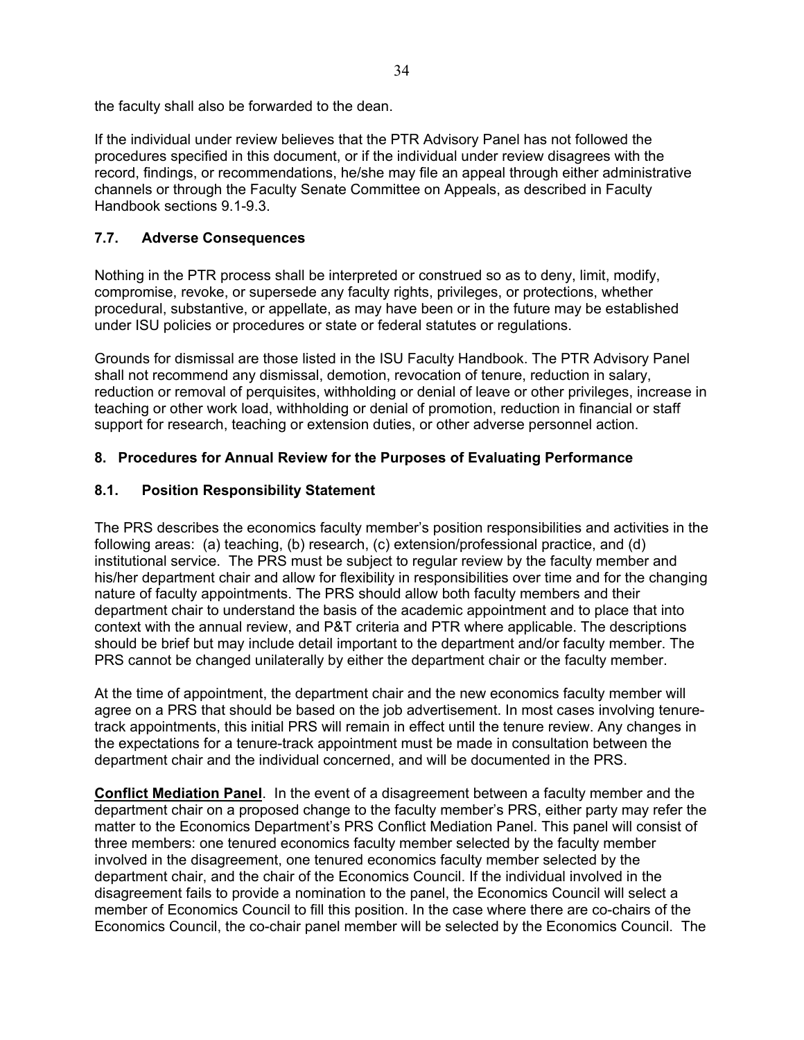the faculty shall also be forwarded to the dean.

If the individual under review believes that the PTR Advisory Panel has not followed the procedures specified in this document, or if the individual under review disagrees with the record, findings, or recommendations, he/she may file an appeal through either administrative channels or through the Faculty Senate Committee on Appeals, as described in Faculty Handbook sections 9.1-9.3.

## <span id="page-33-0"></span>**7.7. Adverse Consequences**

Nothing in the PTR process shall be interpreted or construed so as to deny, limit, modify, compromise, revoke, or supersede any faculty rights, privileges, or protections, whether procedural, substantive, or appellate, as may have been or in the future may be established under ISU policies or procedures or state or federal statutes or regulations.

Grounds for dismissal are those listed in the ISU Faculty Handbook. The PTR Advisory Panel shall not recommend any dismissal, demotion, revocation of tenure, reduction in salary, reduction or removal of perquisites, withholding or denial of leave or other privileges, increase in teaching or other work load, withholding or denial of promotion, reduction in financial or staff support for research, teaching or extension duties, or other adverse personnel action.

## <span id="page-33-2"></span><span id="page-33-1"></span>**8. Procedures for Annual Review for the Purposes of Evaluating Performance**

## **8.1. Position Responsibility Statement**

The PRS describes the economics faculty member's position responsibilities and activities in the following areas: (a) teaching, (b) research, (c) extension/professional practice, and (d) institutional service. The PRS must be subject to regular review by the faculty member and his/her department chair and allow for flexibility in responsibilities over time and for the changing nature of faculty appointments. The PRS should allow both faculty members and their department chair to understand the basis of the academic appointment and to place that into context with the annual review, and P&T criteria and PTR where applicable. The descriptions should be brief but may include detail important to the department and/or faculty member. The PRS cannot be changed unilaterally by either the department chair or the faculty member.

At the time of appointment, the department chair and the new economics faculty member will agree on a PRS that should be based on the job advertisement. In most cases involving tenuretrack appointments, this initial PRS will remain in effect until the tenure review. Any changes in the expectations for a tenure-track appointment must be made in consultation between the department chair and the individual concerned, and will be documented in the PRS.

**Conflict Mediation Panel**. In the event of a disagreement between a faculty member and the department chair on a proposed change to the faculty member's PRS, either party may refer the matter to the Economics Department's PRS Conflict Mediation Panel. This panel will consist of three members: one tenured economics faculty member selected by the faculty member involved in the disagreement, one tenured economics faculty member selected by the department chair, and the chair of the Economics Council. If the individual involved in the disagreement fails to provide a nomination to the panel, the Economics Council will select a member of Economics Council to fill this position. In the case where there are co-chairs of the Economics Council, the co-chair panel member will be selected by the Economics Council. The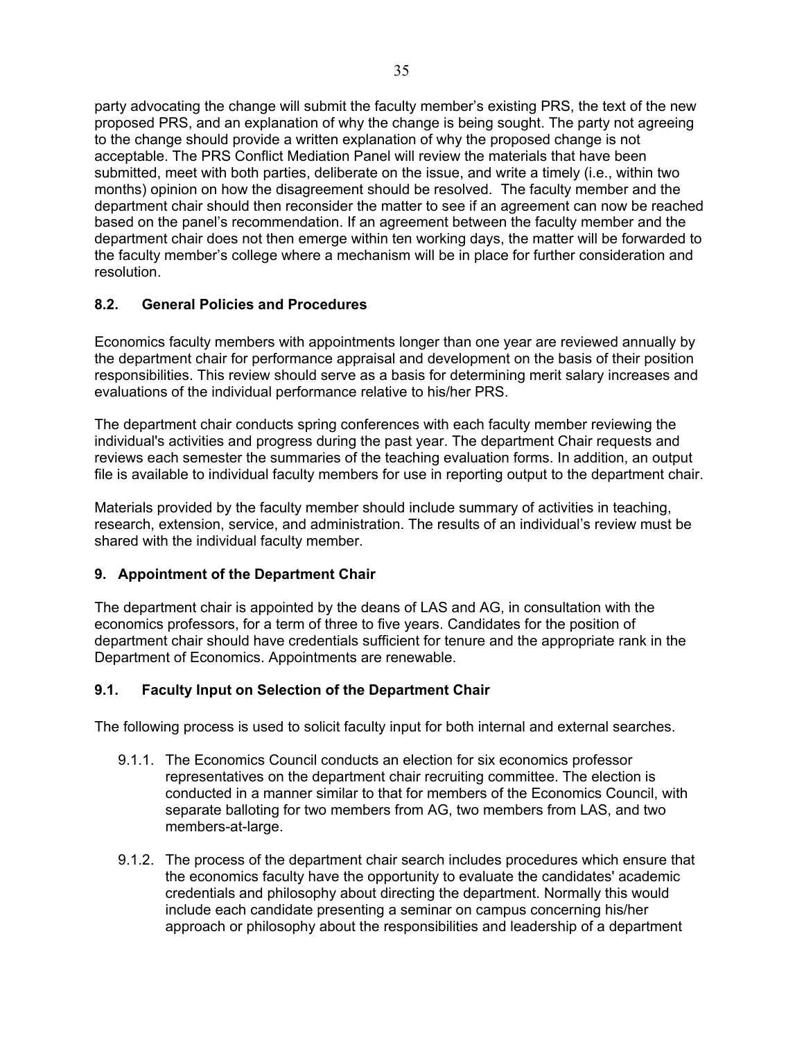party advocating the change will submit the faculty member's existing PRS, the text of the new proposed PRS, and an explanation of why the change is being sought. The party not agreeing to the change should provide a written explanation of why the proposed change is not acceptable. The PRS Conflict Mediation Panel will review the materials that have been submitted, meet with both parties, deliberate on the issue, and write a timely (i.e., within two months) opinion on how the disagreement should be resolved. The faculty member and the department chair should then reconsider the matter to see if an agreement can now be reached based on the panel's recommendation. If an agreement between the faculty member and the department chair does not then emerge within ten working days, the matter will be forwarded to the faculty member's college where a mechanism will be in place for further consideration and resolution.

#### <span id="page-34-0"></span>**8.2. General Policies and Procedures**

Economics faculty members with appointments longer than one year are reviewed annually by the department chair for performance appraisal and development on the basis of their position responsibilities. This review should serve as a basis for determining merit salary increases and evaluations of the individual performance relative to his/her PRS.

The department chair conducts spring conferences with each faculty member reviewing the individual's activities and progress during the past year. The department Chair requests and reviews each semester the summaries of the teaching evaluation forms. In addition, an output file is available to individual faculty members for use in reporting output to the department chair.

Materials provided by the faculty member should include summary of activities in teaching, research, extension, service, and administration. The results of an individual's review must be shared with the individual faculty member.

#### <span id="page-34-1"></span>**9. Appointment of the Department Chair**

The department chair is appointed by the deans of LAS and AG, in consultation with the economics professors, for a term of three to five years. Candidates for the position of department chair should have credentials sufficient for tenure and the appropriate rank in the Department of Economics. Appointments are renewable.

## <span id="page-34-2"></span>**9.1. Faculty Input on Selection of the Department Chair**

The following process is used to solicit faculty input for both internal and external searches.

- 9.1.1. The Economics Council conducts an election for six economics professor representatives on the department chair recruiting committee. The election is conducted in a manner similar to that for members of the Economics Council, with separate balloting for two members from AG, two members from LAS, and two members-at-large.
- 9.1.2. The process of the department chair search includes procedures which ensure that the economics faculty have the opportunity to evaluate the candidates' academic credentials and philosophy about directing the department. Normally this would include each candidate presenting a seminar on campus concerning his/her approach or philosophy about the responsibilities and leadership of a department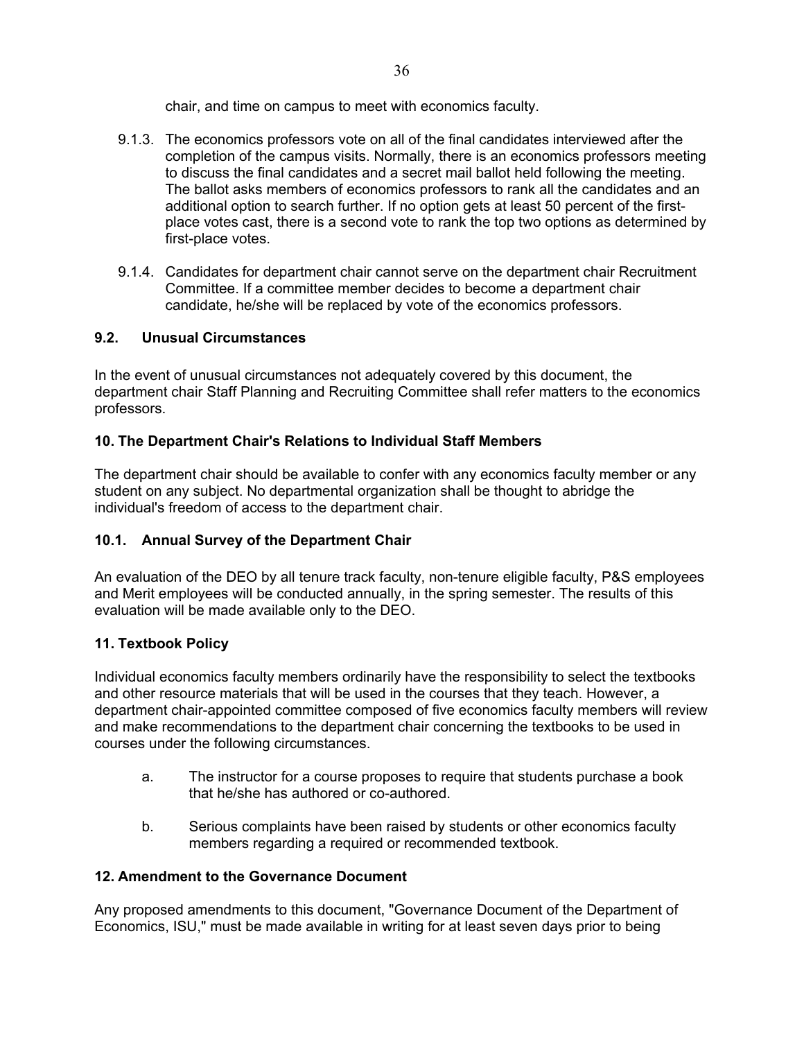chair, and time on campus to meet with economics faculty.

- 9.1.3. The economics professors vote on all of the final candidates interviewed after the completion of the campus visits. Normally, there is an economics professors meeting to discuss the final candidates and a secret mail ballot held following the meeting. The ballot asks members of economics professors to rank all the candidates and an additional option to search further. If no option gets at least 50 percent of the firstplace votes cast, there is a second vote to rank the top two options as determined by first-place votes.
- 9.1.4. Candidates for department chair cannot serve on the department chair Recruitment Committee. If a committee member decides to become a department chair candidate, he/she will be replaced by vote of the economics professors.

## <span id="page-35-0"></span>**9.2. Unusual Circumstances**

In the event of unusual circumstances not adequately covered by this document, the department chair Staff Planning and Recruiting Committee shall refer matters to the economics professors.

## <span id="page-35-1"></span>**10. The Department Chair's Relations to Individual Staff Members**

The department chair should be available to confer with any economics faculty member or any student on any subject. No departmental organization shall be thought to abridge the individual's freedom of access to the department chair.

## <span id="page-35-2"></span>**10.1. Annual Survey of the Department Chair**

An evaluation of the DEO by all tenure track faculty, non-tenure eligible faculty, P&S employees and Merit employees will be conducted annually, in the spring semester. The results of this evaluation will be made available only to the DEO.

# <span id="page-35-3"></span>**11. Textbook Policy**

Individual economics faculty members ordinarily have the responsibility to select the textbooks and other resource materials that will be used in the courses that they teach. However, a department chair-appointed committee composed of five economics faculty members will review and make recommendations to the department chair concerning the textbooks to be used in courses under the following circumstances.

- a. The instructor for a course proposes to require that students purchase a book that he/she has authored or co-authored.
- b. Serious complaints have been raised by students or other economics faculty members regarding a required or recommended textbook.

## <span id="page-35-4"></span>**12. Amendment to the Governance Document**

Any proposed amendments to this document, "Governance Document of the Department of Economics, ISU," must be made available in writing for at least seven days prior to being